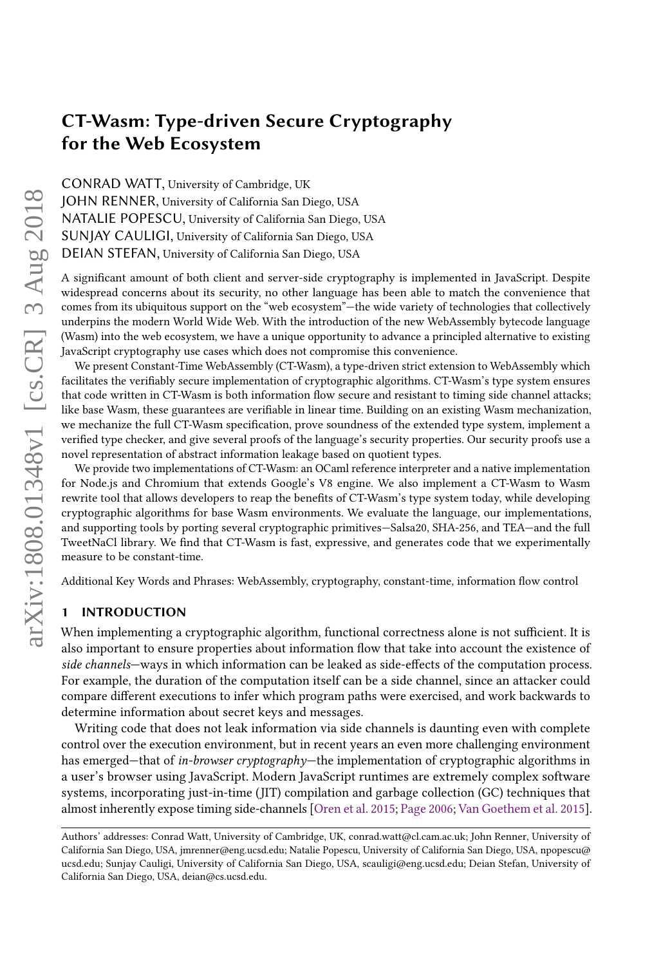CONRAD WATT, University of Cambridge, UK JOHN RENNER, University of California San Diego, USA NATALIE POPESCU, University of California San Diego, USA SUNJAY CAULIGI, University of California San Diego, USA DEIAN STEFAN, University of California San Diego, USA

A significant amount of both client and server-side cryptography is implemented in JavaScript. Despite widespread concerns about its security, no other language has been able to match the convenience that comes from its ubiquitous support on the "web ecosystem"—the wide variety of technologies that collectively underpins the modern World Wide Web. With the introduction of the new WebAssembly bytecode language (Wasm) into the web ecosystem, we have a unique opportunity to advance a principled alternative to existing JavaScript cryptography use cases which does not compromise this convenience.

We present Constant-Time WebAssembly (CT-Wasm), a type-driven strict extension to WebAssembly which facilitates the verifiably secure implementation of cryptographic algorithms. CT-Wasm's type system ensures that code written in CT-Wasm is both information flow secure and resistant to timing side channel attacks; like base Wasm, these guarantees are verifiable in linear time. Building on an existing Wasm mechanization, we mechanize the full CT-Wasm specification, prove soundness of the extended type system, implement a verified type checker, and give several proofs of the language's security properties. Our security proofs use a novel representation of abstract information leakage based on quotient types.

We provide two implementations of CT-Wasm: an OCaml reference interpreter and a native implementation for Node.js and Chromium that extends Google's V8 engine. We also implement a CT-Wasm to Wasm rewrite tool that allows developers to reap the benefits of CT-Wasm's type system today, while developing cryptographic algorithms for base Wasm environments. We evaluate the language, our implementations, and supporting tools by porting several cryptographic primitives—Salsa20, SHA-256, and TEA—and the full TweetNaCl library. We find that CT-Wasm is fast, expressive, and generates code that we experimentally measure to be constant-time.

Additional Key Words and Phrases: WebAssembly, cryptography, constant-time, information flow control

### 1 INTRODUCTION

When implementing a cryptographic algorithm, functional correctness alone is not sufficient. It is also important to ensure properties about information flow that take into account the existence of side channels—ways in which information can be leaked as side-effects of the computation process. For example, the duration of the computation itself can be a side channel, since an attacker could compare different executions to infer which program paths were exercised, and work backwards to determine information about secret keys and messages.

Writing code that does not leak information via side channels is daunting even with complete control over the execution environment, but in recent years an even more challenging environment has emerged—that of in-browser cryptography—the implementation of cryptographic algorithms in a user's browser using JavaScript. Modern JavaScript runtimes are extremely complex software systems, incorporating just-in-time (JIT) compilation and garbage collection (GC) techniques that almost inherently expose timing side-channels [\[Oren et al.](#page-27-0) [2015;](#page-27-0) [Page](#page-27-1) [2006;](#page-27-1) [Van Goethem et al.](#page-28-0) [2015\]](#page-28-0).

Authors' addresses: Conrad Watt, University of Cambridge, UK, conrad.watt@cl.cam.ac.uk; John Renner, University of California San Diego, USA, jmrenner@eng.ucsd.edu; Natalie Popescu, University of California San Diego, USA, npopescu@ ucsd.edu; Sunjay Cauligi, University of California San Diego, USA, scauligi@eng.ucsd.edu; Deian Stefan, University of California San Diego, USA, deian@cs.ucsd.edu.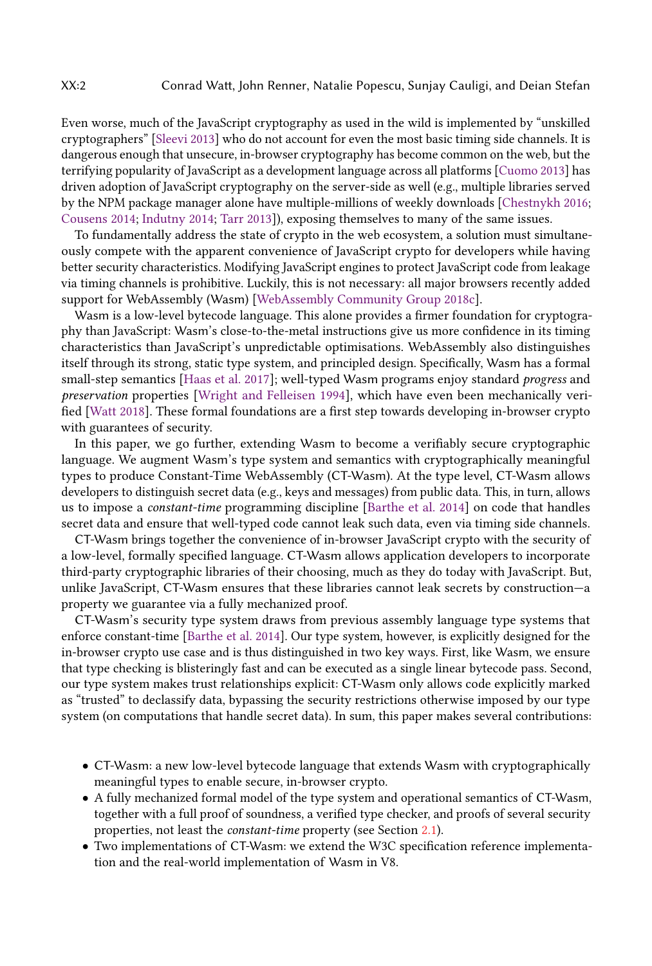Even worse, much of the JavaScript cryptography as used in the wild is implemented by "unskilled cryptographers" [\[Sleevi](#page-28-1) [2013\]](#page-28-1) who do not account for even the most basic timing side channels. It is dangerous enough that unsecure, in-browser cryptography has become common on the web, but the terrifying popularity of JavaScript as a development language across all platforms [\[Cuomo](#page-26-0) [2013\]](#page-26-0) has driven adoption of JavaScript cryptography on the server-side as well (e.g., multiple libraries served by the NPM package manager alone have multiple-millions of weekly downloads [\[Chestnykh](#page-26-1) [2016;](#page-26-1) [Cousens](#page-26-2) [2014;](#page-26-2) [Indutny](#page-27-2) [2014;](#page-27-2) [Tarr](#page-28-2) [2013\]](#page-28-2)), exposing themselves to many of the same issues.

To fundamentally address the state of crypto in the web ecosystem, a solution must simultaneously compete with the apparent convenience of JavaScript crypto for developers while having better security characteristics. Modifying JavaScript engines to protect JavaScript code from leakage via timing channels is prohibitive. Luckily, this is not necessary: all major browsers recently added support for WebAssembly (Wasm) [\[WebAssembly Community Group](#page-28-3) [2018c\]](#page-28-3).

Wasm is a low-level bytecode language. This alone provides a firmer foundation for cryptography than JavaScript: Wasm's close-to-the-metal instructions give us more confidence in its timing characteristics than JavaScript's unpredictable optimisations. WebAssembly also distinguishes itself through its strong, static type system, and principled design. Specifically, Wasm has a formal small-step semantics [\[Haas et al.](#page-26-3) [2017\]](#page-26-3); well-typed Wasm programs enjoy standard progress and preservation properties [\[Wright and Felleisen](#page-28-4) [1994\]](#page-28-4), which have even been mechanically verified [\[Watt](#page-28-5) [2018\]](#page-28-5). These formal foundations are a first step towards developing in-browser crypto with guarantees of security.

In this paper, we go further, extending Wasm to become a verifiably secure cryptographic language. We augment Wasm's type system and semantics with cryptographically meaningful types to produce Constant-Time WebAssembly (CT-Wasm). At the type level, CT-Wasm allows developers to distinguish secret data (e.g., keys and messages) from public data. This, in turn, allows us to impose a constant-time programming discipline [\[Barthe et al.](#page-25-0) [2014\]](#page-25-0) on code that handles secret data and ensure that well-typed code cannot leak such data, even via timing side channels.

CT-Wasm brings together the convenience of in-browser JavaScript crypto with the security of a low-level, formally specified language. CT-Wasm allows application developers to incorporate third-party cryptographic libraries of their choosing, much as they do today with JavaScript. But, unlike JavaScript, CT-Wasm ensures that these libraries cannot leak secrets by construction—a property we guarantee via a fully mechanized proof.

CT-Wasm's security type system draws from previous assembly language type systems that enforce constant-time [\[Barthe et al.](#page-25-0) [2014\]](#page-25-0). Our type system, however, is explicitly designed for the in-browser crypto use case and is thus distinguished in two key ways. First, like Wasm, we ensure that type checking is blisteringly fast and can be executed as a single linear bytecode pass. Second, our type system makes trust relationships explicit: CT-Wasm only allows code explicitly marked as "trusted" to declassify data, bypassing the security restrictions otherwise imposed by our type system (on computations that handle secret data). In sum, this paper makes several contributions:

- CT-Wasm: a new low-level bytecode language that extends Wasm with cryptographically meaningful types to enable secure, in-browser crypto.
- A fully mechanized formal model of the type system and operational semantics of CT-Wasm, together with a full proof of soundness, a verified type checker, and proofs of several security properties, not least the constant-time property (see Section [2.1\)](#page-2-0).
- Two implementations of CT-Wasm: we extend the W3C specification reference implementation and the real-world implementation of Wasm in V8.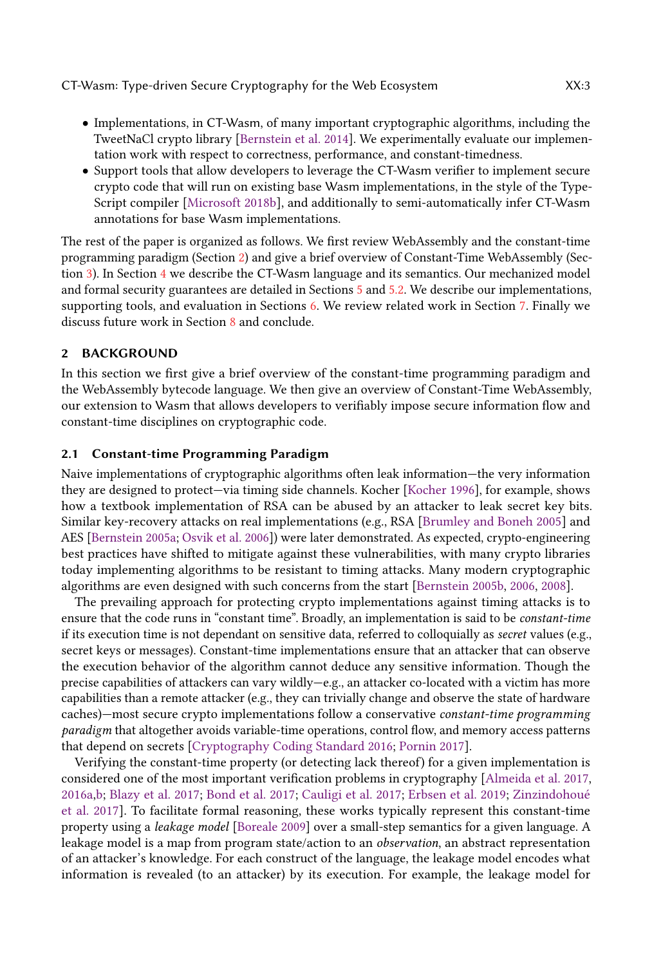- Implementations, in CT-Wasm, of many important cryptographic algorithms, including the TweetNaCl crypto library [\[Bernstein et al.](#page-26-4) [2014\]](#page-26-4). We experimentally evaluate our implementation work with respect to correctness, performance, and constant-timedness.
- Support tools that allow developers to leverage the CT-Wasm verifier to implement secure crypto code that will run on existing base Wasm implementations, in the style of the Type-Script compiler [\[Microsoft](#page-27-3) [2018b\]](#page-27-3), and additionally to semi-automatically infer CT-Wasm annotations for base Wasm implementations.

The rest of the paper is organized as follows. We first review WebAssembly and the constant-time programming paradigm (Section [2\)](#page-2-1) and give a brief overview of Constant-Time WebAssembly (Section [3\)](#page-5-0). In Section [4](#page-6-0) we describe the CT-Wasm language and its semantics. Our mechanized model and formal security guarantees are detailed in Sections [5](#page-10-0) and [5.2.](#page-11-0) We describe our implementations, supporting tools, and evaluation in Sections [6.](#page-17-0) We review related work in Section [7.](#page-23-0) Finally we discuss future work in Section [8](#page-24-0) and conclude.

### <span id="page-2-1"></span>2 BACKGROUND

In this section we first give a brief overview of the constant-time programming paradigm and the WebAssembly bytecode language. We then give an overview of Constant-Time WebAssembly, our extension to Wasm that allows developers to verifiably impose secure information flow and constant-time disciplines on cryptographic code.

### <span id="page-2-0"></span>2.1 Constant-time Programming Paradigm

Naive implementations of cryptographic algorithms often leak information—the very information they are designed to protect—via timing side channels. Kocher [\[Kocher](#page-27-4) [1996\]](#page-27-4), for example, shows how a textbook implementation of RSA can be abused by an attacker to leak secret key bits. Similar key-recovery attacks on real implementations (e.g., RSA [\[Brumley and Boneh](#page-26-5) [2005\]](#page-26-5) and AES [\[Bernstein](#page-25-1) [2005a;](#page-25-1) [Osvik et al.](#page-27-5) [2006\]](#page-27-5)) were later demonstrated. As expected, crypto-engineering best practices have shifted to mitigate against these vulnerabilities, with many crypto libraries today implementing algorithms to be resistant to timing attacks. Many modern cryptographic algorithms are even designed with such concerns from the start [\[Bernstein](#page-25-2) [2005b,](#page-25-2) [2006,](#page-26-6) [2008\]](#page-26-7).

The prevailing approach for protecting crypto implementations against timing attacks is to ensure that the code runs in "constant time". Broadly, an implementation is said to be constant-time if its execution time is not dependant on sensitive data, referred to colloquially as secret values (e.g., secret keys or messages). Constant-time implementations ensure that an attacker that can observe the execution behavior of the algorithm cannot deduce any sensitive information. Though the precise capabilities of attackers can vary wildly—e.g., an attacker co-located with a victim has more capabilities than a remote attacker (e.g., they can trivially change and observe the state of hardware caches)—most secure crypto implementations follow a conservative constant-time programming paradigm that altogether avoids variable-time operations, control flow, and memory access patterns that depend on secrets [\[Cryptography Coding Standard](#page-26-8) [2016;](#page-26-8) [Pornin](#page-27-6) [2017\]](#page-27-6).

Verifying the constant-time property (or detecting lack thereof) for a given implementation is considered one of the most important verification problems in cryptography [\[Almeida et al.](#page-25-3) [2017,](#page-25-3) [2016a,](#page-25-4)[b;](#page-25-5) [Blazy et al.](#page-26-9) [2017;](#page-26-9) [Bond et al.](#page-26-10) [2017;](#page-26-10) [Cauligi et al.](#page-26-11) [2017;](#page-26-11) [Erbsen et al.](#page-26-12) [2019;](#page-26-12) [Zinzindohoué](#page-28-6) [et al.](#page-28-6) [2017\]](#page-28-6). To facilitate formal reasoning, these works typically represent this constant-time property using a leakage model [\[Boreale](#page-26-13) [2009\]](#page-26-13) over a small-step semantics for a given language. A leakage model is a map from program state/action to an *observation*, an abstract representation of an attacker's knowledge. For each construct of the language, the leakage model encodes what information is revealed (to an attacker) by its execution. For example, the leakage model for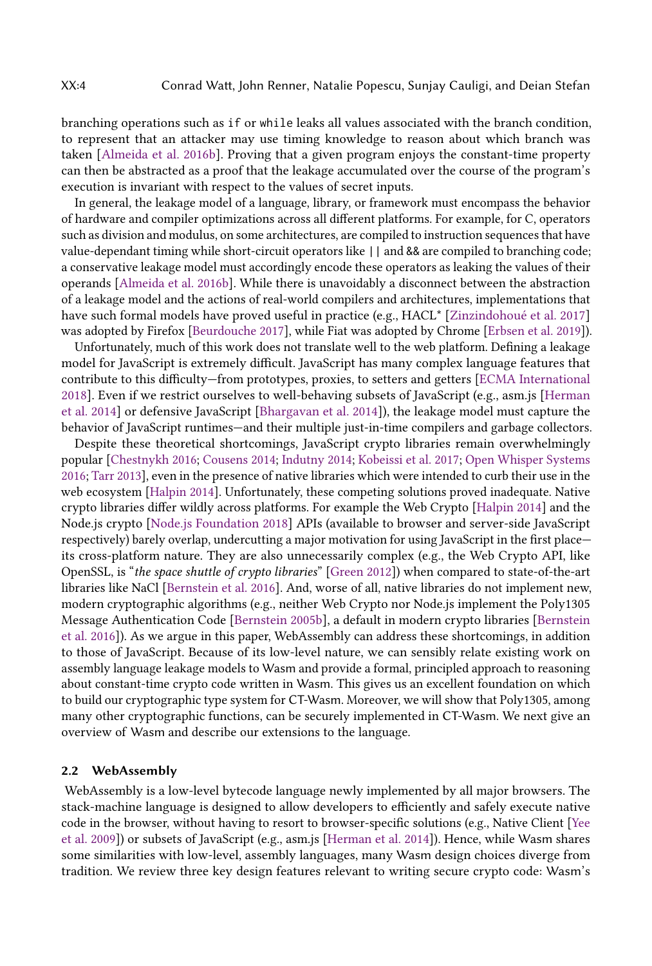branching operations such as if or while leaks all values associated with the branch condition, to represent that an attacker may use timing knowledge to reason about which branch was taken [\[Almeida et al.](#page-25-5) [2016b\]](#page-25-5). Proving that a given program enjoys the constant-time property can then be abstracted as a proof that the leakage accumulated over the course of the program's execution is invariant with respect to the values of secret inputs.

In general, the leakage model of a language, library, or framework must encompass the behavior of hardware and compiler optimizations across all different platforms. For example, for C, operators such as division and modulus, on some architectures, are compiled to instruction sequences that have value-dependant timing while short-circuit operators like || and && are compiled to branching code; a conservative leakage model must accordingly encode these operators as leaking the values of their operands [\[Almeida et al.](#page-25-5) [2016b\]](#page-25-5). While there is unavoidably a disconnect between the abstraction of a leakage model and the actions of real-world compilers and architectures, implementations that have such formal models have proved useful in practice (e.g., HACL\* [\[Zinzindohoué et al.](#page-28-6) [2017\]](#page-28-6) was adopted by Firefox [\[Beurdouche](#page-26-14) [2017\]](#page-26-14), while Fiat was adopted by Chrome [\[Erbsen et al.](#page-26-12) [2019\]](#page-26-12)).

Unfortunately, much of this work does not translate well to the web platform. Defining a leakage model for JavaScript is extremely difficult. JavaScript has many complex language features that contribute to this difficulty—from prototypes, proxies, to setters and getters [\[ECMA International](#page-26-15) [2018\]](#page-26-15). Even if we restrict ourselves to well-behaving subsets of JavaScript (e.g., asm.js [\[Herman](#page-26-16) [et al.](#page-26-16) [2014\]](#page-26-16) or defensive JavaScript [\[Bhargavan et al.](#page-26-17) [2014\]](#page-26-17)), the leakage model must capture the behavior of JavaScript runtimes—and their multiple just-in-time compilers and garbage collectors.

Despite these theoretical shortcomings, JavaScript crypto libraries remain overwhelmingly popular [\[Chestnykh](#page-26-1) [2016;](#page-26-1) [Cousens](#page-26-2) [2014;](#page-26-2) [Indutny](#page-27-2) [2014;](#page-27-2) [Kobeissi et al.](#page-27-7) [2017;](#page-27-7) [Open Whisper Systems](#page-27-8) [2016;](#page-27-8) [Tarr](#page-28-2) [2013\]](#page-28-2), even in the presence of native libraries which were intended to curb their use in the web ecosystem [\[Halpin](#page-26-18) [2014\]](#page-26-18). Unfortunately, these competing solutions proved inadequate. Native crypto libraries differ wildly across platforms. For example the Web Crypto [\[Halpin](#page-26-18) [2014\]](#page-26-18) and the Node.js crypto [\[Node.js Foundation](#page-27-9) [2018\]](#page-27-9) APIs (available to browser and server-side JavaScript respectively) barely overlap, undercutting a major motivation for using JavaScript in the first place its cross-platform nature. They are also unnecessarily complex (e.g., the Web Crypto API, like OpenSSL, is "the space shuttle of crypto libraries" [\[Green](#page-26-19) [2012\]](#page-26-19)) when compared to state-of-the-art libraries like NaCl [\[Bernstein et al.](#page-26-20) [2016\]](#page-26-20). And, worse of all, native libraries do not implement new, modern cryptographic algorithms (e.g., neither Web Crypto nor Node.js implement the Poly1305 Message Authentication Code [\[Bernstein](#page-25-2) [2005b\]](#page-25-2), a default in modern crypto libraries [\[Bernstein](#page-26-20) [et al.](#page-26-20) [2016\]](#page-26-20)). As we argue in this paper, WebAssembly can address these shortcomings, in addition to those of JavaScript. Because of its low-level nature, we can sensibly relate existing work on assembly language leakage models to Wasm and provide a formal, principled approach to reasoning about constant-time crypto code written in Wasm. This gives us an excellent foundation on which to build our cryptographic type system for CT-Wasm. Moreover, we will show that Poly1305, among many other cryptographic functions, can be securely implemented in CT-Wasm. We next give an overview of Wasm and describe our extensions to the language.

### 2.2 WebAssembly

WebAssembly is a low-level bytecode language newly implemented by all major browsers. The stack-machine language is designed to allow developers to efficiently and safely execute native code in the browser, without having to resort to browser-specific solutions (e.g., Native Client [\[Yee](#page-28-7) [et al.](#page-28-7) [2009\]](#page-28-7)) or subsets of JavaScript (e.g., asm.js [\[Herman et al.](#page-26-16) [2014\]](#page-26-16)). Hence, while Wasm shares some similarities with low-level, assembly languages, many Wasm design choices diverge from tradition. We review three key design features relevant to writing secure crypto code: Wasm's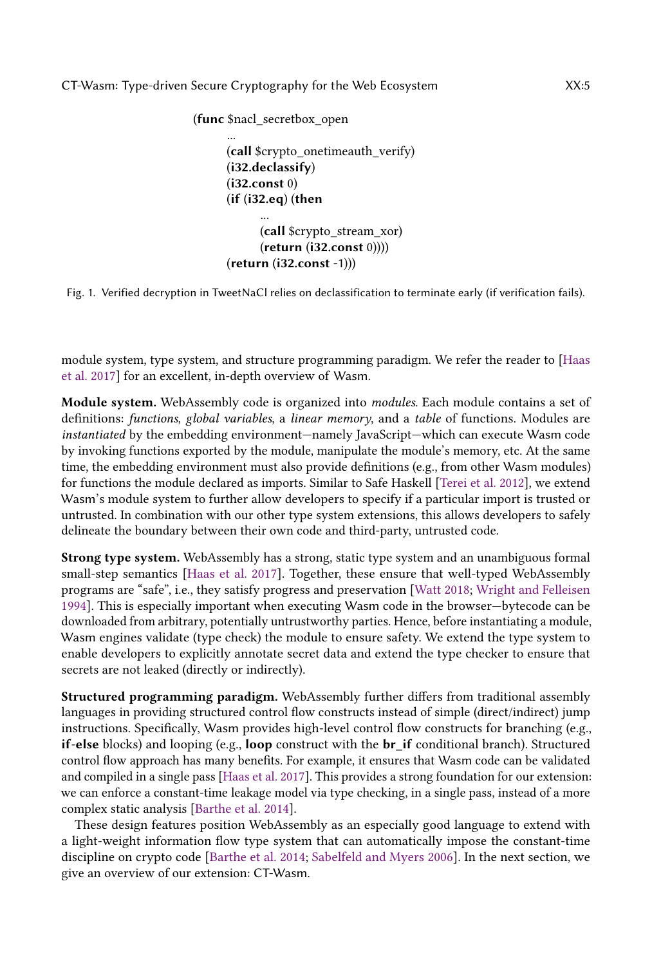<span id="page-4-0"></span>(func \$nacl\_secretbox\_open ... (call \$crypto\_onetimeauth\_verify) (i32.declassify) (i32.const 0) (if (i32.eq) (then ... (call \$crypto\_stream\_xor) (return (i32.const 0)))) (return (i32.const -1)))

Fig. 1. Verified decryption in TweetNaCl relies on declassification to terminate early (if verification fails).

module system, type system, and structure programming paradigm. We refer the reader to [\[Haas](#page-26-3) [et al.](#page-26-3) [2017\]](#page-26-3) for an excellent, in-depth overview of Wasm.

Module system. WebAssembly code is organized into modules. Each module contains a set of definitions: functions, global variables, a linear memory, and a table of functions. Modules are instantiated by the embedding environment—namely JavaScript—which can execute Wasm code by invoking functions exported by the module, manipulate the module's memory, etc. At the same time, the embedding environment must also provide definitions (e.g., from other Wasm modules) for functions the module declared as imports. Similar to Safe Haskell [\[Terei et al.](#page-28-8) [2012\]](#page-28-8), we extend Wasm's module system to further allow developers to specify if a particular import is trusted or untrusted. In combination with our other type system extensions, this allows developers to safely delineate the boundary between their own code and third-party, untrusted code.

Strong type system. WebAssembly has a strong, static type system and an unambiguous formal small-step semantics [\[Haas et al.](#page-26-3) [2017\]](#page-26-3). Together, these ensure that well-typed WebAssembly programs are "safe", i.e., they satisfy progress and preservation [\[Watt](#page-28-5) [2018;](#page-28-5) [Wright and Felleisen](#page-28-4) [1994\]](#page-28-4). This is especially important when executing Wasm code in the browser—bytecode can be downloaded from arbitrary, potentially untrustworthy parties. Hence, before instantiating a module, Wasm engines validate (type check) the module to ensure safety. We extend the type system to enable developers to explicitly annotate secret data and extend the type checker to ensure that secrets are not leaked (directly or indirectly).

Structured programming paradigm. WebAssembly further differs from traditional assembly languages in providing structured control flow constructs instead of simple (direct/indirect) jump instructions. Specifically, Wasm provides high-level control flow constructs for branching (e.g., if-else blocks) and looping (e.g., loop construct with the  $\mathbf{b}r$  if conditional branch). Structured control flow approach has many benefits. For example, it ensures that Wasm code can be validated and compiled in a single pass [\[Haas et al.](#page-26-3) [2017\]](#page-26-3). This provides a strong foundation for our extension: we can enforce a constant-time leakage model via type checking, in a single pass, instead of a more complex static analysis [\[Barthe et al.](#page-25-0) [2014\]](#page-25-0).

These design features position WebAssembly as an especially good language to extend with a light-weight information flow type system that can automatically impose the constant-time discipline on crypto code [\[Barthe et al.](#page-25-0) [2014;](#page-25-0) [Sabelfeld and Myers](#page-28-9) [2006\]](#page-28-9). In the next section, we give an overview of our extension: CT-Wasm.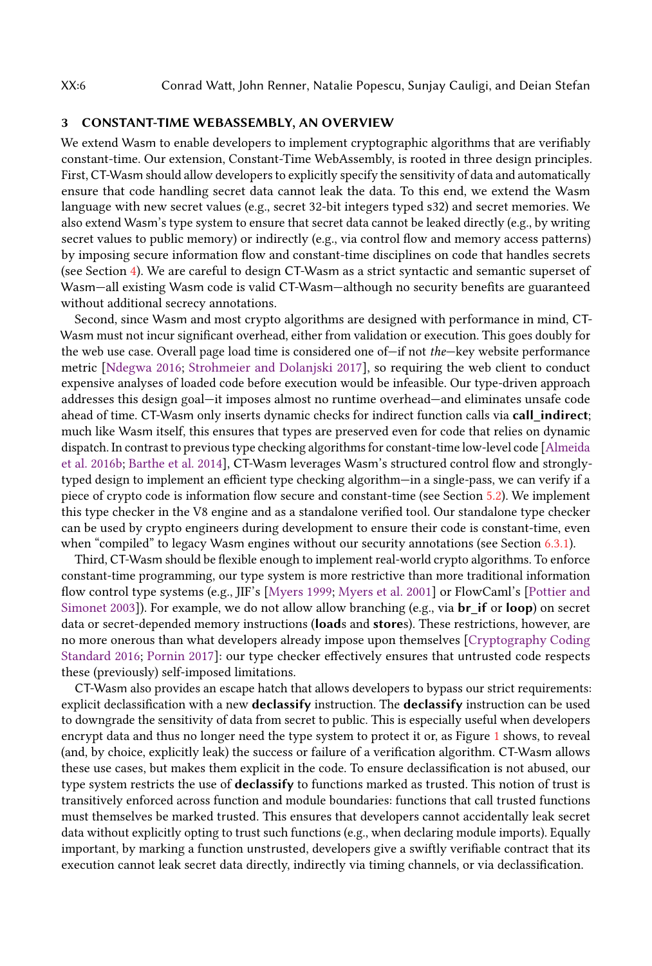### <span id="page-5-0"></span>3 CONSTANT-TIME WEBASSEMBLY, AN OVERVIEW

We extend Wasm to enable developers to implement cryptographic algorithms that are verifiably constant-time. Our extension, Constant-Time WebAssembly, is rooted in three design principles. First, CT-Wasm should allow developers to explicitly specify the sensitivity of data and automatically ensure that code handling secret data cannot leak the data. To this end, we extend the Wasm language with new secret values (e.g., secret 32-bit integers typed s32) and secret memories. We also extend Wasm's type system to ensure that secret data cannot be leaked directly (e.g., by writing secret values to public memory) or indirectly (e.g., via control flow and memory access patterns) by imposing secure information flow and constant-time disciplines on code that handles secrets (see Section [4\)](#page-6-0). We are careful to design CT-Wasm as a strict syntactic and semantic superset of Wasm—all existing Wasm code is valid CT-Wasm—although no security benefits are guaranteed without additional secrecy annotations.

Second, since Wasm and most crypto algorithms are designed with performance in mind, CT-Wasm must not incur significant overhead, either from validation or execution. This goes doubly for the web use case. Overall page load time is considered one of—if not the—key website performance metric [\[Ndegwa](#page-27-10) [2016;](#page-27-10) [Strohmeier and Dolanjski](#page-28-10) [2017\]](#page-28-10), so requiring the web client to conduct expensive analyses of loaded code before execution would be infeasible. Our type-driven approach addresses this design goal—it imposes almost no runtime overhead—and eliminates unsafe code ahead of time. CT-Wasm only inserts dynamic checks for indirect function calls via call\_indirect; much like Wasm itself, this ensures that types are preserved even for code that relies on dynamic dispatch. In contrast to previous type checking algorithms for constant-time low-level code [\[Almeida](#page-25-5) [et al.](#page-25-5) [2016b;](#page-25-5) [Barthe et al.](#page-25-0) [2014\]](#page-25-0), CT-Wasm leverages Wasm's structured control flow and stronglytyped design to implement an efficient type checking algorithm—in a single-pass, we can verify if a piece of crypto code is information flow secure and constant-time (see Section [5.2\)](#page-11-0). We implement this type checker in the V8 engine and as a standalone verified tool. Our standalone type checker can be used by crypto engineers during development to ensure their code is constant-time, even when "compiled" to legacy Wasm engines without our security annotations (see Section [6.3.1\)](#page-18-0).

Third, CT-Wasm should be flexible enough to implement real-world crypto algorithms. To enforce constant-time programming, our type system is more restrictive than more traditional information flow control type systems (e.g., JIF's [\[Myers](#page-27-11) [1999;](#page-27-11) [Myers et al.](#page-27-12) [2001\]](#page-27-12) or FlowCaml's [\[Pottier and](#page-27-13) [Simonet](#page-27-13) [2003\]](#page-27-13)). For example, we do not allow allow branching (e.g., via  $\mathbf{br}\_$ f or  $\mathbf{loop}$ ) on secret data or secret-depended memory instructions (loads and stores). These restrictions, however, are no more onerous than what developers already impose upon themselves [\[Cryptography Coding](#page-26-8) [Standard](#page-26-8) [2016;](#page-26-8) [Pornin](#page-27-6) [2017\]](#page-27-6): our type checker effectively ensures that untrusted code respects these (previously) self-imposed limitations.

CT-Wasm also provides an escape hatch that allows developers to bypass our strict requirements: explicit declassification with a new declassify instruction. The declassify instruction can be used to downgrade the sensitivity of data from secret to public. This is especially useful when developers encrypt data and thus no longer need the type system to protect it or, as Figure [1](#page-4-0) shows, to reveal (and, by choice, explicitly leak) the success or failure of a verification algorithm. CT-Wasm allows these use cases, but makes them explicit in the code. To ensure declassification is not abused, our type system restricts the use of declassify to functions marked as trusted. This notion of trust is transitively enforced across function and module boundaries: functions that call trusted functions must themselves be marked trusted. This ensures that developers cannot accidentally leak secret data without explicitly opting to trust such functions (e.g., when declaring module imports). Equally important, by marking a function unstrusted, developers give a swiftly verifiable contract that its execution cannot leak secret data directly, indirectly via timing channels, or via declassification.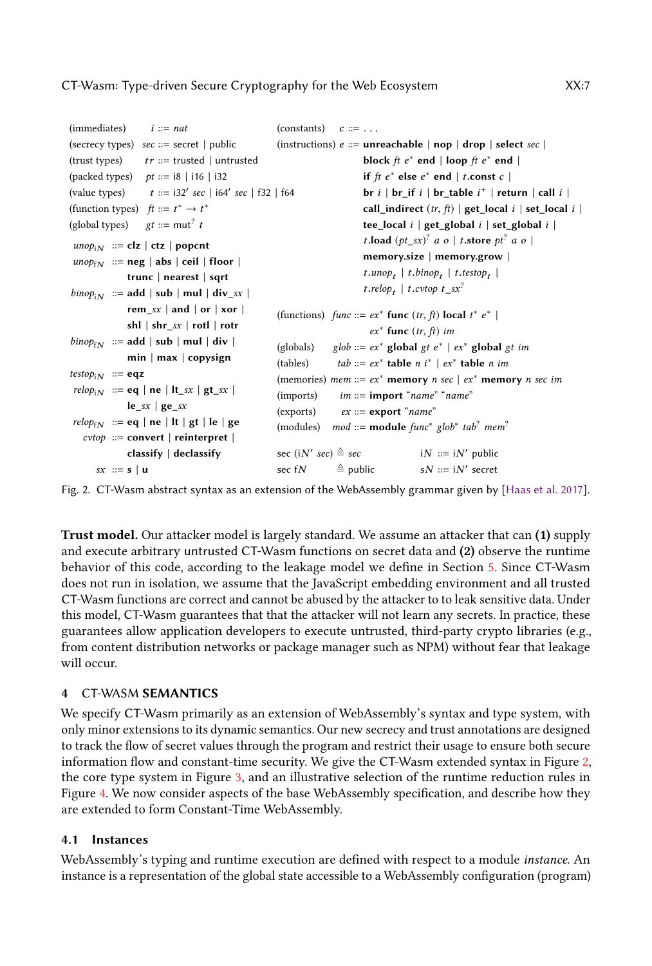```
(immediates) i ::= nat(secrecy types) sec ::= secret | public(trust types) tr ::= trusted | untrusted
(packed types) pt ::= i8 \mid i16 \mid i32(value types)
                               sec | i64′
sec | f32 | f64
(function types) ft ::= t^* \rightarrow t^*(global types)
                  gt ::= \text{mut}^? t\textit{unop}_{iN} ::= clz | ctz | popcnt
\text{unop}_{fN} ::= neg | abs | ceil | floor |
              trunc | nearest | sqrt
\text{bino}p_{iN} ::= add | sub | mul | div_sx |
              rem sx | and | or | xor |
              shl | shr_sx | rotl | rotr
\text{binop}_{fN} ::= add | sub | mul | div |
              min | max | copysign
testop_{iN} ::= eqz
relop_{iN} ::= \mathbf{eq} \mid \mathbf{ne} \mid \mathbf{lt}\_sx \mid \mathbf{gt}\_sx \midle_{sx} | ge_sx
relop_{fN} ::= eq | ne | lt | gt | le | ge
   cvtop ::= convert | reinterpret |
              classify | declassify
      sx ::= s | u(constants) c ::= \ldots(instructions) e ::=unreachable | nop | drop | select sec |
                                                                          block ft e^* end | loop ft e^* end |
                                                                          if ft e^* else e^* end |t.const c|br i \mid br_if i \mid br_table i^+ \mid return \mid call i \midcall_indirect (tr, ft) | get_local i | set_local i |
                                                                          tee_local i | get\_global i | set\_global i |t.load (pt\_sx)^2 a o | t.store pt<sup>2</sup> a o |
                                                                          memory.size | memory.grow |
                                                                          t.unop_t | t.binop_t | t.testop_t |
                                                                          t.relop<sub>t</sub> | t.cvtop t<sub>_</sub>sx<sup>?</sup>
                                                     (functions) func ::= ex^* func (tr, ft) local t^* e^* |
                                                                            ex^* func (tr, ft) im
                                                     (globals) glob ::= ex^* global gt e^* | ex^* global gt im
                                                     (tables) tab ::= ex^* table n i<sup>*</sup> | ex^* table n im
                                                    (memories) mem ::= ex^* memory n sec | ex^* memory n sec im
                                                    (imports) im  ::= import "name" "name"
                                                    (exports) ex ::= exterport "name"
                                                     (modules) mod ::= module func^* glob^* tab^? mem^?sec (iN' sec) \triangleq sec iN ::= iN
                                                                                        iN ::= iN' public
                                                     sec fN \stackrel{\triangle}{=} public sN ::= iN' secret
```
Fig. 2. CT-Wasm abstract syntax as an extension of the WebAssembly grammar given by [\[Haas et al.](#page-26-3) [2017\]](#page-26-3).

Trust model. Our attacker model is largely standard. We assume an attacker that can (1) supply and execute arbitrary untrusted CT-Wasm functions on secret data and (2) observe the runtime behavior of this code, according to the leakage model we define in Section [5.](#page-10-0) Since CT-Wasm does not run in isolation, we assume that the JavaScript embedding environment and all trusted CT-Wasm functions are correct and cannot be abused by the attacker to to leak sensitive data. Under this model, CT-Wasm guarantees that that the attacker will not learn any secrets. In practice, these guarantees allow application developers to execute untrusted, third-party crypto libraries (e.g., from content distribution networks or package manager such as NPM) without fear that leakage will occur.

# <span id="page-6-0"></span>4 CT-WASM SEMANTICS

We specify CT-Wasm primarily as an extension of WebAssembly's syntax and type system, with only minor extensions to its dynamic semantics. Our new secrecy and trust annotations are designed to track the flow of secret values through the program and restrict their usage to ensure both secure information flow and constant-time security. We give the CT-Wasm extended syntax in Figure [2,](#page-6-1) the core type system in Figure [3,](#page-7-0) and an illustrative selection of the runtime reduction rules in Figure [4.](#page-8-0) We now consider aspects of the base WebAssembly specification, and describe how they are extended to form Constant-Time WebAssembly.

# 4.1 Instances

WebAssembly's typing and runtime execution are defined with respect to a module instance. An instance is a representation of the global state accessible to a WebAssembly configuration (program)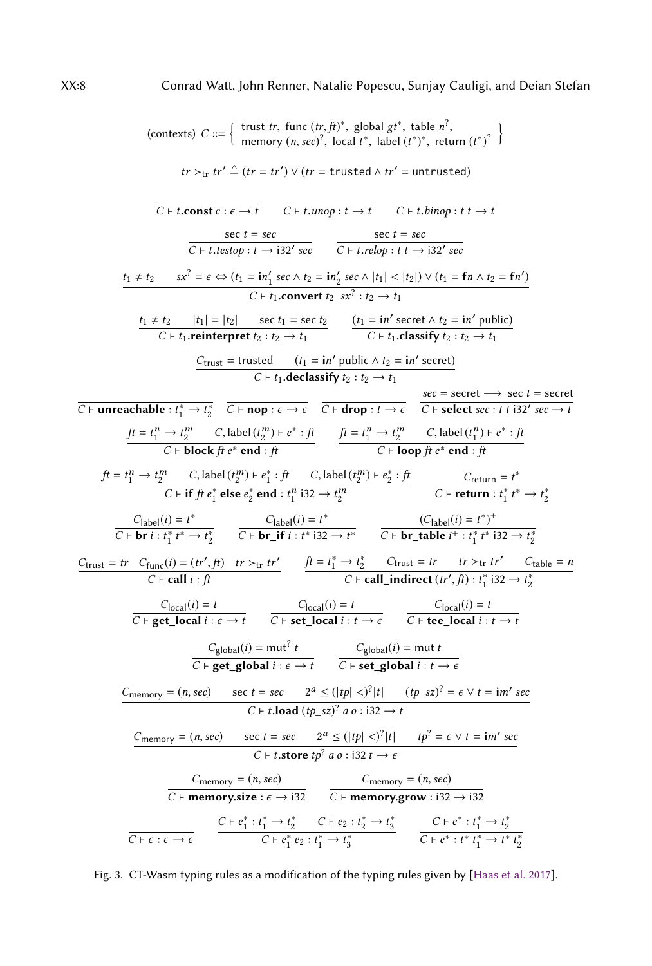<span id="page-7-0"></span>(contexts) 
$$
C ::= \begin{cases} \n\text{trust } tr, \ \text{func } (tr, ft)^2, \ \text{global } tf^2, \ \text{table } (t^2)^3, \ \text{local } t^4, \ \text{label } (t^2)^2, \ \text{local } t^6, \ \text{label } (t^2)^3, \ \text{local } t^7, \ \text{label } (t^2)^2, \ \text{local } t^8, \ \text{label } (t^2)^3, \ \text{local } t^8, \ \text{label } (t^2)^4, \ \text{local } t^9, \ \text{initial } t^1 \neq 0 \end{cases}
$$
\n
$$
tr > tr \text{tr } tr' \triangleq (tr = tr') \lor (tr = \text{trusted } \land tr' = \text{untrusted})
$$
\n
$$
\frac{\text{set } tr}{C + t.\text{t.000p} : t \rightarrow 132' \text{ sec}} = \frac{\text{set } tr}{C + t.\text{t.000p} : t \rightarrow 132' \text{ sec}}
$$
\n
$$
\frac{\text{set } tr}{C + t.\text{t.000p} : t \rightarrow 132' \text{ sec}} = \frac{\text{set } tr}{C + t.\text{t.000p} : t \rightarrow 132' \text{ sec}}
$$
\n
$$
\frac{\text{tr } t + t_2}{C + t_1.\text{center per } t_2} = \frac{\text{set } tr}{\text{set } t_1} = \frac{\text{int} \cdot \text{sec } \land t_2}{\text{set } t_1} = \frac{\text{int} \cdot \text{sec } \land t_1}{\text{set } t_1}. \ \text{constant } t_2 \geq \text{int} t_1} = \frac{\text{int} \cdot \text{sec } t_1}{C + t_1.\text{classify } t_2 : t_2 \rightarrow t_1} = \frac{\text{int} \cdot \text{sec } t_1}{C + t_1.\text{classify } t_2 : t_2 \rightarrow t_1} = \frac{\text{f} \cdot \text{d} \cdot \text{d} \cdot \text{d} \cdot \text{d} \cdot \text{d} \cdot \text{d} \cdot \text{d} \cdot \text{d} \cdot \text{d} \cdot \text{d} \cdot \text{d} \cdot \text{d} \cdot \text{d} \cdot \text{d} \cdot \text{d} \cdot \text{d} \cdot \
$$

Fig. 3. CT-Wasm typing rules as a modification of the typing rules given by [\[Haas et al.](#page-26-3) [2017\]](#page-26-3).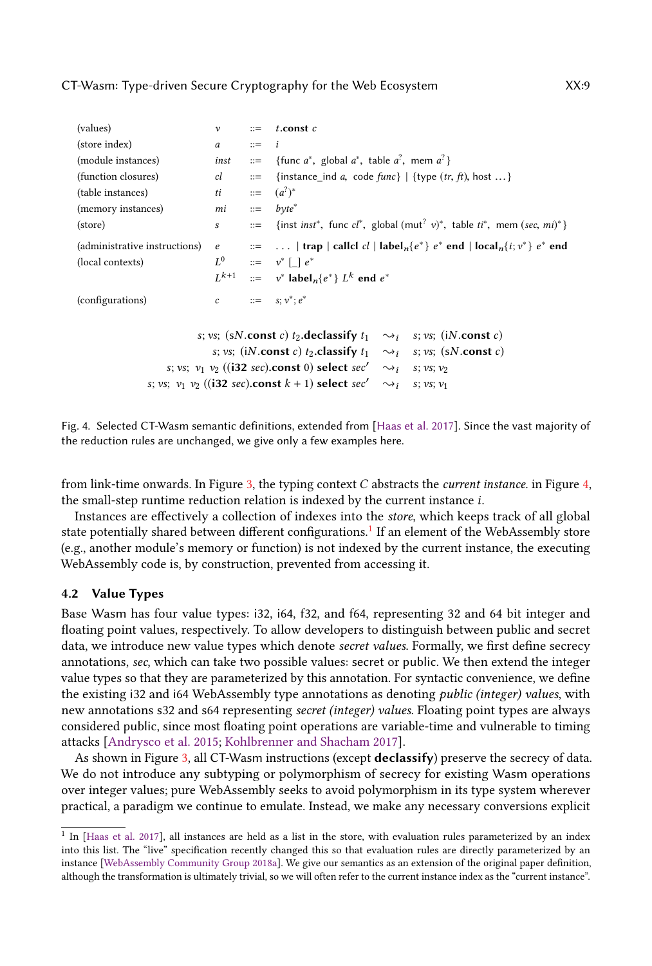<span id="page-8-0"></span>

| (values)                                                                          | $\mathcal V$                                                                                   | $::=$                                                                           | $t$ .const $c$                                                                                                                                                        |  |  |  |  |  |
|-----------------------------------------------------------------------------------|------------------------------------------------------------------------------------------------|---------------------------------------------------------------------------------|-----------------------------------------------------------------------------------------------------------------------------------------------------------------------|--|--|--|--|--|
| (store index)                                                                     | a                                                                                              | $::=$                                                                           | $\dot{i}$                                                                                                                                                             |  |  |  |  |  |
| (module instances)                                                                | inst                                                                                           |                                                                                 | ::= {func $a^*$ , global $a^*$ , table $a^2$ , mem $a^2$ }                                                                                                            |  |  |  |  |  |
| (function closures)                                                               | cl                                                                                             | $::=$                                                                           | {instance_ind a, code $func$ }   {type $(tr, ft)$ , host }                                                                                                            |  |  |  |  |  |
| (table instances)                                                                 | <i>ti</i> ::= $(a^7)^*$                                                                        |                                                                                 |                                                                                                                                                                       |  |  |  |  |  |
| (memory instances)                                                                | $mi$ ::= $byte^*$                                                                              |                                                                                 |                                                                                                                                                                       |  |  |  |  |  |
| (store)                                                                           | $S \qquad \qquad$                                                                              |                                                                                 | ::= {inst inst*, func $cl^*$ , global (mut <sup>?</sup> v)*, table $ti^*$ , mem (sec, mi)*}                                                                           |  |  |  |  |  |
| (administrative instructions)                                                     |                                                                                                |                                                                                 | e $\therefore$ $\therefore$   trap   callel cl   label <sub>n</sub> {e <sup>*</sup> } e <sup>*</sup> end   local <sub>n</sub> {i; v <sup>*</sup> } e <sup>*</sup> end |  |  |  |  |  |
| (local contexts)                                                                  |                                                                                                |                                                                                 | $L^0$ ::= $v^*$   $e^*$                                                                                                                                               |  |  |  |  |  |
|                                                                                   |                                                                                                |                                                                                 | $L^{k+1}$ ::= $v^*$ label <sub>n</sub> { $e^*$ } $L^k$ end $e^*$                                                                                                      |  |  |  |  |  |
| (configurations)                                                                  |                                                                                                |                                                                                 | c ::= $s; v^*; e^*$                                                                                                                                                   |  |  |  |  |  |
| s; vs; (sN.const c) t <sub>2</sub> .declassify $t_1 \sim a$ ; s; vs; (iN.const c) |                                                                                                |                                                                                 |                                                                                                                                                                       |  |  |  |  |  |
|                                                                                   |                                                                                                | s; vs; (iN.const c) t <sub>2</sub> .classify $t_1 \sim a_i$ s; vs; (sN.const c) |                                                                                                                                                                       |  |  |  |  |  |
|                                                                                   |                                                                                                | s; vs; $v_1$ $v_2$ ((i32 sec).const 0) select sec' $\sim_i$ s; vs; $v_2$        |                                                                                                                                                                       |  |  |  |  |  |
|                                                                                   | s; vs; $v_1$ $v_2$ ((i32 sec).const $k + 1$ ) select sec'<br>$\rightsquigarrow$ i s; vs; $v_1$ |                                                                                 |                                                                                                                                                                       |  |  |  |  |  |
|                                                                                   |                                                                                                |                                                                                 |                                                                                                                                                                       |  |  |  |  |  |

Fig. 4. Selected CT-Wasm semantic definitions, extended from [\[Haas et al.](#page-26-3) [2017\]](#page-26-3). Since the vast majority of the reduction rules are unchanged, we give only a few examples here.

from link-time onwards. In Figure [3,](#page-7-0) the typing context  $C$  abstracts the *current instance*. in Figure [4,](#page-8-0) the small-step runtime reduction relation is indexed by the current instance i.

Instances are effectively a collection of indexes into the store, which keeps track of all global state potentially shared between different configurations.<sup>[1](#page-8-1)</sup> If an element of the WebAssembly store (e.g., another module's memory or function) is not indexed by the current instance, the executing WebAssembly code is, by construction, prevented from accessing it.

#### 4.2 Value Types

Base Wasm has four value types: i32, i64, f32, and f64, representing 32 and 64 bit integer and floating point values, respectively. To allow developers to distinguish between public and secret data, we introduce new value types which denote secret values. Formally, we first define secrecy annotations, sec, which can take two possible values: secret or public. We then extend the integer value types so that they are parameterized by this annotation. For syntactic convenience, we define the existing i32 and i64 WebAssembly type annotations as denoting public (integer) values, with new annotations s32 and s64 representing secret (integer) values. Floating point types are always considered public, since most floating point operations are variable-time and vulnerable to timing attacks [\[Andrysco et al.](#page-25-6) [2015;](#page-25-6) [Kohlbrenner and Shacham](#page-27-14) [2017\]](#page-27-14).

As shown in Figure [3,](#page-7-0) all CT-Wasm instructions (except declassify) preserve the secrecy of data. We do not introduce any subtyping or polymorphism of secrecy for existing Wasm operations over integer values; pure WebAssembly seeks to avoid polymorphism in its type system wherever practical, a paradigm we continue to emulate. Instead, we make any necessary conversions explicit

<span id="page-8-1"></span><sup>&</sup>lt;sup>1</sup> In [\[Haas et al.](#page-26-3) [2017\]](#page-26-3), all instances are held as a list in the store, with evaluation rules parameterized by an index into this list. The "live" specification recently changed this so that evaluation rules are directly parameterized by an instance [\[WebAssembly Community Group](#page-28-11) [2018a\]](#page-28-11). We give our semantics as an extension of the original paper definition, although the transformation is ultimately trivial, so we will often refer to the current instance index as the "current instance".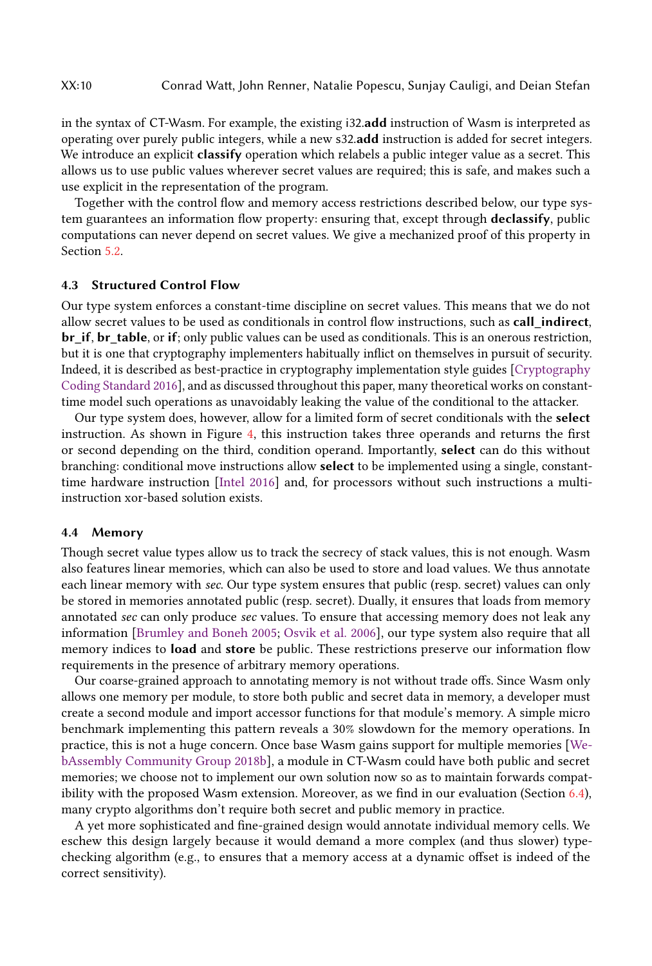in the syntax of CT-Wasm. For example, the existing i32.add instruction of Wasm is interpreted as operating over purely public integers, while a new s32.add instruction is added for secret integers. We introduce an explicit classify operation which relabels a public integer value as a secret. This allows us to use public values wherever secret values are required; this is safe, and makes such a use explicit in the representation of the program.

Together with the control flow and memory access restrictions described below, our type system guarantees an information flow property: ensuring that, except through declassify, public computations can never depend on secret values. We give a mechanized proof of this property in Section [5.2.](#page-11-0)

### 4.3 Structured Control Flow

Our type system enforces a constant-time discipline on secret values. This means that we do not allow secret values to be used as conditionals in control flow instructions, such as call\_indirect, br if, br table, or if; only public values can be used as conditionals. This is an onerous restriction, but it is one that cryptography implementers habitually inflict on themselves in pursuit of security. Indeed, it is described as best-practice in cryptography implementation style guides [\[Cryptography](#page-26-8) [Coding Standard](#page-26-8) [2016\]](#page-26-8), and as discussed throughout this paper, many theoretical works on constanttime model such operations as unavoidably leaking the value of the conditional to the attacker.

Our type system does, however, allow for a limited form of secret conditionals with the select instruction. As shown in Figure [4,](#page-8-0) this instruction takes three operands and returns the first or second depending on the third, condition operand. Importantly, select can do this without branching: conditional move instructions allow select to be implemented using a single, constanttime hardware instruction [\[Intel](#page-27-15) [2016\]](#page-27-15) and, for processors without such instructions a multiinstruction xor-based solution exists.

#### 4.4 Memory

Though secret value types allow us to track the secrecy of stack values, this is not enough. Wasm also features linear memories, which can also be used to store and load values. We thus annotate each linear memory with sec. Our type system ensures that public (resp. secret) values can only be stored in memories annotated public (resp. secret). Dually, it ensures that loads from memory annotated sec can only produce sec values. To ensure that accessing memory does not leak any information [\[Brumley and Boneh](#page-26-5) [2005;](#page-26-5) [Osvik et al.](#page-27-5) [2006\]](#page-27-5), our type system also require that all memory indices to **load** and store be public. These restrictions preserve our information flow requirements in the presence of arbitrary memory operations.

Our coarse-grained approach to annotating memory is not without trade offs. Since Wasm only allows one memory per module, to store both public and secret data in memory, a developer must create a second module and import accessor functions for that module's memory. A simple micro benchmark implementing this pattern reveals a 30% slowdown for the memory operations. In practice, this is not a huge concern. Once base Wasm gains support for multiple memories [\[We](#page-28-12)[bAssembly Community Group](#page-28-12) [2018b\]](#page-28-12), a module in CT-Wasm could have both public and secret memories; we choose not to implement our own solution now so as to maintain forwards compatibility with the proposed Wasm extension. Moreover, as we find in our evaluation (Section [6.4\)](#page-20-0), many crypto algorithms don't require both secret and public memory in practice.

A yet more sophisticated and fine-grained design would annotate individual memory cells. We eschew this design largely because it would demand a more complex (and thus slower) typechecking algorithm (e.g., to ensures that a memory access at a dynamic offset is indeed of the correct sensitivity).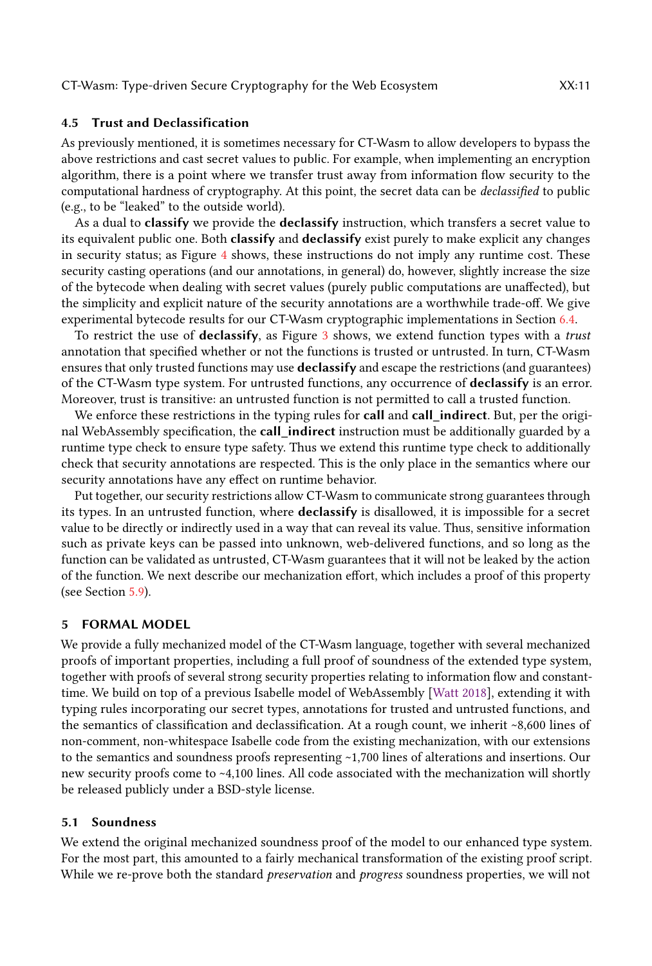#### 4.5 Trust and Declassification

As previously mentioned, it is sometimes necessary for CT-Wasm to allow developers to bypass the above restrictions and cast secret values to public. For example, when implementing an encryption algorithm, there is a point where we transfer trust away from information flow security to the computational hardness of cryptography. At this point, the secret data can be declassified to public (e.g., to be "leaked" to the outside world).

As a dual to classify we provide the declassify instruction, which transfers a secret value to its equivalent public one. Both classify and declassify exist purely to make explicit any changes in security status; as Figure [4](#page-8-0) shows, these instructions do not imply any runtime cost. These security casting operations (and our annotations, in general) do, however, slightly increase the size of the bytecode when dealing with secret values (purely public computations are unaffected), but the simplicity and explicit nature of the security annotations are a worthwhile trade-off. We give experimental bytecode results for our CT-Wasm cryptographic implementations in Section [6.4.](#page-20-0)

To restrict the use of declassify, as Figure [3](#page-7-0) shows, we extend function types with a trust annotation that specified whether or not the functions is trusted or untrusted. In turn, CT-Wasm ensures that only trusted functions may use declassify and escape the restrictions (and guarantees) of the CT-Wasm type system. For untrusted functions, any occurrence of declassify is an error. Moreover, trust is transitive: an untrusted function is not permitted to call a trusted function.

We enforce these restrictions in the typing rules for **call** and **call\_indirect**. But, per the original WebAssembly specification, the call\_indirect instruction must be additionally guarded by a runtime type check to ensure type safety. Thus we extend this runtime type check to additionally check that security annotations are respected. This is the only place in the semantics where our security annotations have any effect on runtime behavior.

Put together, our security restrictions allow CT-Wasm to communicate strong guarantees through its types. In an untrusted function, where declassify is disallowed, it is impossible for a secret value to be directly or indirectly used in a way that can reveal its value. Thus, sensitive information such as private keys can be passed into unknown, web-delivered functions, and so long as the function can be validated as untrusted, CT-Wasm guarantees that it will not be leaked by the action of the function. We next describe our mechanization effort, which includes a proof of this property (see Section [5.9\)](#page-16-0).

#### <span id="page-10-0"></span>5 FORMAL MODEL

We provide a fully mechanized model of the CT-Wasm language, together with several mechanized proofs of important properties, including a full proof of soundness of the extended type system, together with proofs of several strong security properties relating to information flow and constanttime. We build on top of a previous Isabelle model of WebAssembly [\[Watt](#page-28-5) [2018\]](#page-28-5), extending it with typing rules incorporating our secret types, annotations for trusted and untrusted functions, and the semantics of classification and declassification. At a rough count, we inherit ~8,600 lines of non-comment, non-whitespace Isabelle code from the existing mechanization, with our extensions to the semantics and soundness proofs representing ~1,700 lines of alterations and insertions. Our new security proofs come to ~4,100 lines. All code associated with the mechanization will shortly be released publicly under a BSD-style license.

#### 5.1 Soundness

We extend the original mechanized soundness proof of the model to our enhanced type system. For the most part, this amounted to a fairly mechanical transformation of the existing proof script. While we re-prove both the standard *preservation* and *progress* soundness properties, we will not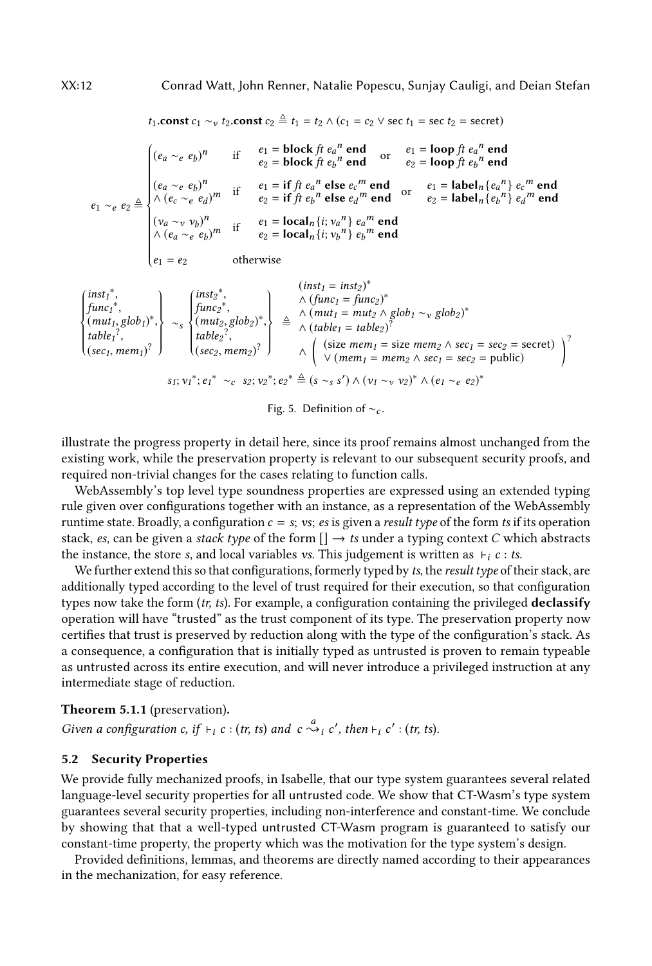<span id="page-11-1"></span>
$$
t_1.\text{const } c_1 \sim_v t_2.\text{const } c_2 \triangleq t_1 = t_2 \land (c_1 = c_2 \lor \sec t_1 = \sec t_2 = \sec \epsilon t)
$$
\n
$$
\begin{cases}\n(e_a \sim_e e_b)^n & \text{if } e_1 = \text{block } ft \ e_a^n \text{ end} & \text{or } e_1 = \text{loop } ft \ e_a^n \text{ end} \\
(e_a \sim_e e_b)^n & \text{if } e_2 = \text{block } ft \ e_b^n \text{ end} & \text{or } e_2 = \text{loop } ft \ e_b^n \text{ end} \\
(e_a \sim_e e_b)^n & \text{if } e_1 = \text{if } ft \ e_a^n \text{ else } e_c^m \text{ end} & \text{or } e_1 = \text{label}_n \{e_a^n\} e_c^m \text{ end} \\
(e_a \sim_e e_b)^n & \text{if } e_2 = \text{if } ft \ e_b^n \text{ else } e_a^m \text{ end} & \text{or } e_1 = \text{label}_n \{e_a^n\} e_c^m \text{ end} \\
(v_a \sim_v v_b)^n & \text{if } e_1 = \text{local}_n \{i; v_a^n\} e_a^m \text{ end} \\
(v_a \sim_e e_b)^m & \text{if } e_2 = \text{local}_n \{i; v_b^n\} e_b^m \text{ end} \\
e_1 = e_2 & \text{otherwise} \\
\{\begin{cases}\n\frac{\text{inst}_1^*}{\text{min}_1^*}, & \frac{\text{inst}_2^*}{\text{min}_2^*}, & \frac{\text{inst}_1 = \text{inst}_2}{\text{min}_2 \{i; v_b^n\} e_b^m \text{ end} \\
(1 - e_c)^n & \text{otherwise}\n\end{cases}\n\end{cases}
$$
\n
$$
\begin{cases}\n\frac{\text{inst}_1^*}{\text{min}_1^*}, & \frac{\text{inst}_2^*}{\text{min}_2^*}, & \frac{\text{inst}_1 = \text{inst}_2}{\text{min}_2 \{i; v_b^n\} e_b^m \text{ end} \\
(1 - e_c)^n & \text{otherwise}\n\end{cases}
$$
\n
$$
\begin{cases}\n\frac{\text{inst}_1^*}{\text{min}_1^*}, & \frac{\text{inst}_2^*}{\text{min}_2^*}, & \frac{\text{inst}_2^*}{\text{min}_2^
$$

table<sub>1</sub><sup>'</sup>,  
\n
$$
(sec_1, mem_1)^2
$$
\n
$$
\left\{\n \begin{array}{c}\n \text{table}_2 : \\
 \text{(sec}_2, mem_2)^2\n \end{array}\n \right\}\n \wedge\n \left\{\n \begin{array}{c}\n \text{(size mem_1 = size mem_2 \land sec_1 = sec_2 = secret)} \\
 \lor (mem_1 = mem_2 \land sec_1 = sec_2 = public)\n \end{array}\n \right.
$$
\n
$$
s_1; v_1^*, e_1^* \sim_c s_2; v_2^*; e_2^* \triangleq (s \sim_s s') \land (v_1 \sim_v v_2)^* \land (e_1 \sim_e e_2)^*
$$

Fig. 5. Definition of  $~\sim_c$ .

illustrate the progress property in detail here, since its proof remains almost unchanged from the existing work, while the preservation property is relevant to our subsequent security proofs, and required non-trivial changes for the cases relating to function calls.

WebAssembly's top level type soundness properties are expressed using an extended typing rule given over configurations together with an instance, as a representation of the WebAssembly runtime state. Broadly, a configuration  $c = s$ ; vs; es is given a result type of the form ts if its operation stack, es, can be given a stack type of the form  $[] \rightarrow ts$  under a typing context C which abstracts the instance, the store s, and local variables vs. This judgement is written as  $\vdash_i c : t$ s.

We further extend this so that configurations, formerly typed by ts, the result type of their stack, are additionally typed according to the level of trust required for their execution, so that configuration types now take the form  $(tr, ts)$ . For example, a configuration containing the privileged **declassify** operation will have "trusted" as the trust component of its type. The preservation property now certifies that trust is preserved by reduction along with the type of the configuration's stack. As a consequence, a configuration that is initially typed as untrusted is proven to remain typeable as untrusted across its entire execution, and will never introduce a privileged instruction at any intermediate stage of reduction.

### Theorem 5.1.1 (preservation).

Given a configuration c, if  $\vdash_i c : (tr, ts)$  and  $c \stackrel{a}{\leadsto}{}_{i} c'$ , then  $\vdash_i c' : (tr, ts)$ .

#### <span id="page-11-0"></span>5.2 Security Properties

We provide fully mechanized proofs, in Isabelle, that our type system guarantees several related language-level security properties for all untrusted code. We show that CT-Wasm's type system guarantees several security properties, including non-interference and constant-time. We conclude by showing that that a well-typed untrusted CT-Wasm program is guaranteed to satisfy our constant-time property, the property which was the motivation for the type system's design.

Provided definitions, lemmas, and theorems are directly named according to their appearances in the mechanization, for easy reference.

J.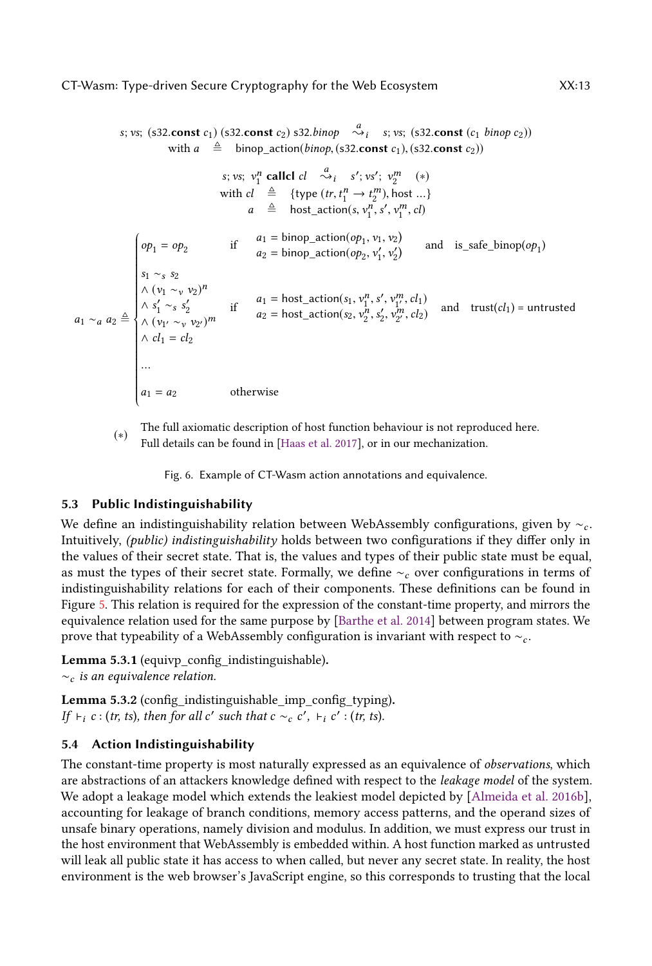<span id="page-12-0"></span>s; vs; (s32.const c<sub>1</sub>) (s32.const c<sub>2</sub>) s32.binop  $\stackrel{a}{\leadsto_i}$  s; vs; (s32.const (c<sub>1</sub> binop c<sub>2</sub>)) with  $a \triangleq$  binop\_action(*binop*, (s32.const c<sub>1</sub>), (s32.const c<sub>2</sub>)) s; vs;  $v_1^n$  callel  $cl \overset{a}{\leadsto} i$  s'; vs';  $v_2^m$  (\*) with  $cl \triangleq {\text{type }(tr, t_1^n \rightarrow t_2^m), \text{host }...\}$ <br>  $cl \triangleq \text{host action}(s, y^n, s', y^m, cl)$  $a \triangleq$  host\_action(s,  $v_1^n$ , s',  $v_1^m$ , cl)  $a_1 \sim_a a_2 \triangleq$  Ĩ,  $op_1 = op_2$  if  $a_1 = \text{binop\_action}(op_1, v_1, v_2)$ <br> $a_2 = \text{binom\_action}(op_2, v', v')$  $a_2 = \text{binop\_action}(op_2, v'_1, v'_2)$  and is\_safe\_binop(op<sub>1</sub>) s<sub>1</sub> ∼s s<sub>2</sub>  $\wedge$   $(v_1 \sim_v v_2)^n$ ∧  $s'_1 \sim_s s'_2$ <br>∧  $(v_{1'} \sim_v v_{2'})^m$  $\wedge$   $cl_1$  =  $cl_2$ if  $a_1 = \text{host\_action}(s_1, v_1^n, s', v_{1'}^m, cl_1)$ <br>if  $a_2 = \text{host\_action}(s_2, v_1^n, s', v_2^m, cl_2)$  $a_2 = \text{host\_action}(s_2, v_2^n, s_2', v_{2'}^m, c_2')$  and trust(cl<sub>1</sub>) = untrusted  $a_1 = a_2$  otherwise

(∗) The full axiomatic description of host function behaviour is not reproduced here. Full details can be found in [\[Haas et al.](#page-26-3) [2017\]](#page-26-3), or in our mechanization.

Fig. 6. Example of CT-Wasm action annotations and equivalence.

# 5.3 Public Indistinguishability

We define an indistinguishability relation between WebAssembly configurations, given by  $\sim_c$ . Intuitively, (public) indistinguishability holds between two configurations if they differ only in the values of their secret state. That is, the values and types of their public state must be equal, as must the types of their secret state. Formally, we define  $\sim_c$  over configurations in terms of indistinguishability relations for each of their components. These definitions can be found in Figure [5.](#page-11-1) This relation is required for the expression of the constant-time property, and mirrors the equivalence relation used for the same purpose by [\[Barthe et al.](#page-25-0) [2014\]](#page-25-0) between program states. We prove that typeability of a WebAssembly configuration is invariant with respect to  $\sim_c$ .

Lemma 5.3.1 (equivp\_config\_indistinguishable).  $~\sim_c$  is an equivalence relation.

<span id="page-12-1"></span>Lemma 5.3.2 (config\_indistinguishable\_imp\_config\_typing). If  $\vdash_i c : (tr, ts), then for all c' such that c \sim_c c', \vdash_i c' : (tr, ts).$ 

# 5.4 Action Indistinguishability

The constant-time property is most naturally expressed as an equivalence of *observations*, which are abstractions of an attackers knowledge defined with respect to the leakage model of the system. We adopt a leakage model which extends the leakiest model depicted by [\[Almeida et al.](#page-25-5) [2016b\]](#page-25-5), accounting for leakage of branch conditions, memory access patterns, and the operand sizes of unsafe binary operations, namely division and modulus. In addition, we must express our trust in the host environment that WebAssembly is embedded within. A host function marked as untrusted will leak all public state it has access to when called, but never any secret state. In reality, the host environment is the web browser's JavaScript engine, so this corresponds to trusting that the local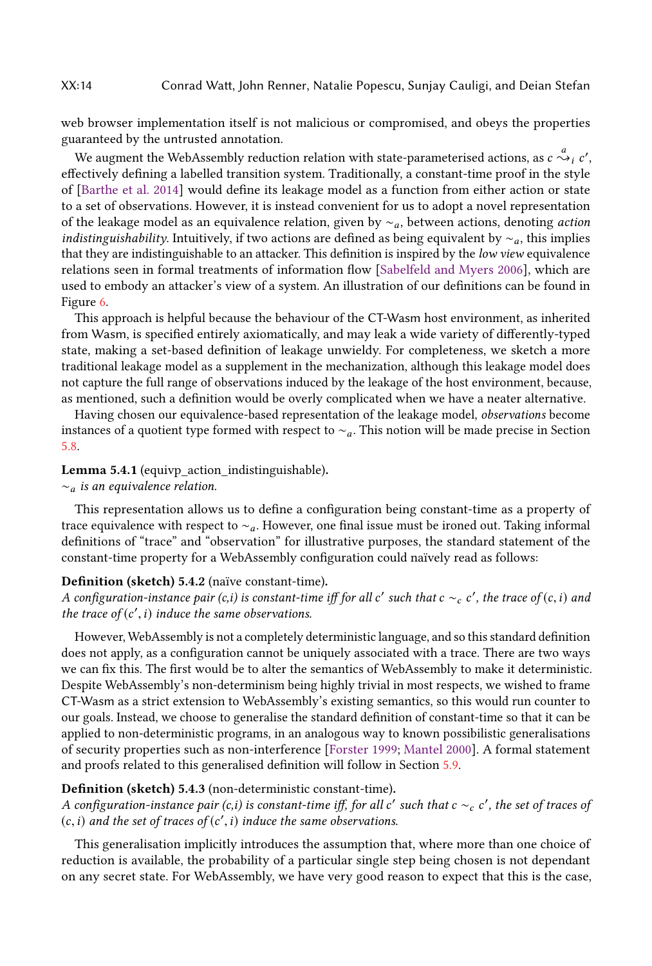web browser implementation itself is not malicious or compromised, and obeys the properties guaranteed by the untrusted annotation.

We augment the WebAssembly reduction relation with state-parameterised actions, as  $c \stackrel{a}{\leadsto}_i c'$ ,<br>
`ectively defining a labelled transition system. Traditionally, a constant-time proof in the style effectively defining a labelled transition system. Traditionally, a constant-time proof in the style of [\[Barthe et al.](#page-25-0) [2014\]](#page-25-0) would define its leakage model as a function from either action or state to a set of observations. However, it is instead convenient for us to adopt a novel representation of the leakage model as an equivalence relation, given by  $\sim_a$ , between actions, denoting *action indistinguishability*. Intuitively, if two actions are defined as being equivalent by  $\sim_a$ , this implies that they are indistinguishable to an attacker. This definition is inspired by the low view equivalence relations seen in formal treatments of information flow [\[Sabelfeld and Myers](#page-28-9) [2006\]](#page-28-9), which are used to embody an attacker's view of a system. An illustration of our definitions can be found in Figure [6.](#page-12-0)

This approach is helpful because the behaviour of the CT-Wasm host environment, as inherited from Wasm, is specified entirely axiomatically, and may leak a wide variety of differently-typed state, making a set-based definition of leakage unwieldy. For completeness, we sketch a more traditional leakage model as a supplement in the mechanization, although this leakage model does not capture the full range of observations induced by the leakage of the host environment, because, as mentioned, such a definition would be overly complicated when we have a neater alternative.

Having chosen our equivalence-based representation of the leakage model, observations become instances of a quotient type formed with respect to  $\sim_a$ . This notion will be made precise in Section [5.8.](#page-15-0)

Lemma 5.4.1 (equivp action indistinguishable).

#### $∼<sub>a</sub>$  is an equivalence relation.

This representation allows us to define a configuration being constant-time as a property of trace equivalence with respect to ∼a. However, one final issue must be ironed out. Taking informal definitions of "trace" and "observation" for illustrative purposes, the standard statement of the constant-time property for a WebAssembly configuration could naïvely read as follows:

### Definition (sketch) 5.4.2 (naïve constant-time).

A configuration-instance pair (c,i) is constant-time iff for all c' such that c  $\sim_c c'$ , the trace of (c, i) and<br>the trace of (c', i) induce the same observations the trace of  $(c', i)$  induce the same observations.

However, WebAssembly is not a completely deterministic language, and so this standard definition does not apply, as a configuration cannot be uniquely associated with a trace. There are two ways we can fix this. The first would be to alter the semantics of WebAssembly to make it deterministic. Despite WebAssembly's non-determinism being highly trivial in most respects, we wished to frame CT-Wasm as a strict extension to WebAssembly's existing semantics, so this would run counter to our goals. Instead, we choose to generalise the standard definition of constant-time so that it can be applied to non-deterministic programs, in an analogous way to known possibilistic generalisations of security properties such as non-interference [\[Forster](#page-26-21) [1999;](#page-26-21) [Mantel](#page-27-16) [2000\]](#page-27-16). A formal statement and proofs related to this generalised definition will follow in Section [5.9.](#page-16-0)

### <span id="page-13-0"></span>Definition (sketch) 5.4.3 (non-deterministic constant-time).

A configuration-instance pair  $(c, i)$  is constant-time iff, for all c' such that  $c \sim_c c'$ , the set of traces of  $(c, i)$  and the set of traces of  $(c', i)$  induce the same observations  $(c, i)$  and the set of traces of  $(c', i)$  induce the same observations.

This generalisation implicitly introduces the assumption that, where more than one choice of reduction is available, the probability of a particular single step being chosen is not dependant on any secret state. For WebAssembly, we have very good reason to expect that this is the case,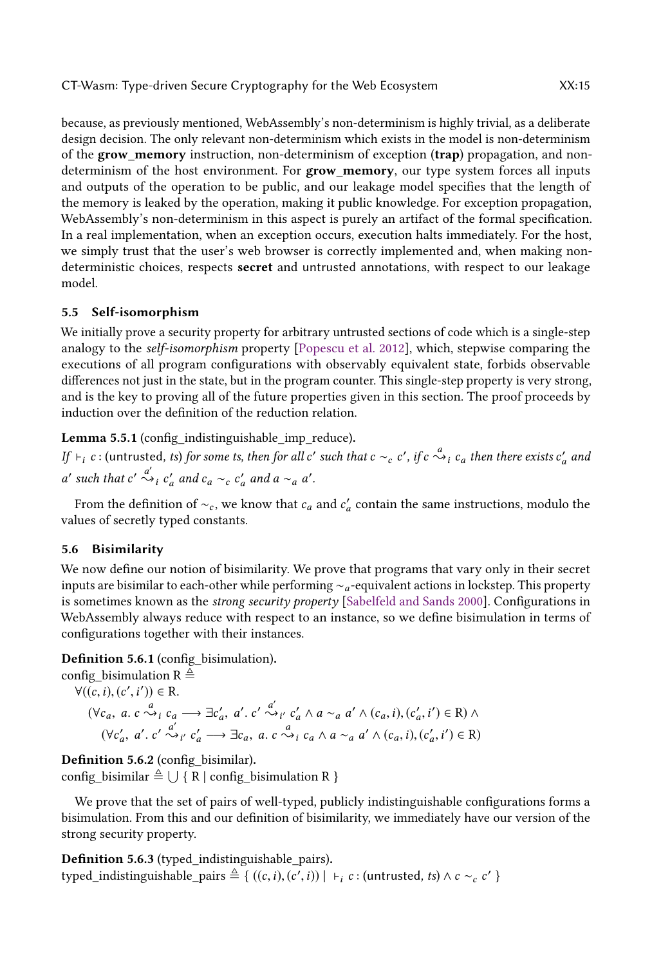because, as previously mentioned, WebAssembly's non-determinism is highly trivial, as a deliberate design decision. The only relevant non-determinism which exists in the model is non-determinism of the **grow memory** instruction, non-determinism of exception (trap) propagation, and nondeterminism of the host environment. For grow\_memory, our type system forces all inputs and outputs of the operation to be public, and our leakage model specifies that the length of the memory is leaked by the operation, making it public knowledge. For exception propagation, WebAssembly's non-determinism in this aspect is purely an artifact of the formal specification. In a real implementation, when an exception occurs, execution halts immediately. For the host, we simply trust that the user's web browser is correctly implemented and, when making nondeterministic choices, respects secret and untrusted annotations, with respect to our leakage model.

# 5.5 Self-isomorphism

We initially prove a security property for arbitrary untrusted sections of code which is a single-step analogy to the self-isomorphism property [\[Popescu et al.](#page-27-17) [2012\]](#page-27-17), which, stepwise comparing the executions of all program configurations with observably equivalent state, forbids observable differences not just in the state, but in the program counter. This single-step property is very strong, and is the key to proving all of the future properties given in this section. The proof proceeds by induction over the definition of the reduction relation.

Lemma 5.5.1 (config\_indistinguishable\_imp\_reduce).

*If*  $\vdash_i c$  : (untrusted, *ts*) for some *ts, then for all c'* such that  $c \sim_c c'$ , *if*  $c \stackrel{a}{\leadsto} i$   $c_a$  *then there exists*  $c'_a$  *and* ' such that  $c' \stackrel{a'}{\leadsto}_i c'_a$  and  $c_a \sim_c c'_a$  and  $a \sim_a a'$ .

From the definition of  $\sim_c$ , we know that  $c_a$  and  $c'_a$  contain the same instructions, modulo the lues of secretly typed constants values of secretly typed constants.

# 5.6 Bisimilarity

We now define our notion of bisimilarity. We prove that programs that vary only in their secret inputs are bisimilar to each-other while performing ∼a-equivalent actions in lockstep. This property is sometimes known as the *strong security property* [\[Sabelfeld and Sands](#page-28-13) [2000\]](#page-28-13). Configurations in WebAssembly always reduce with respect to an instance, so we define bisimulation in terms of configurations together with their instances.

Definition 5.6.1 (config\_bisimulation).

config bisimulation R  $\triangleq$  $\forall ((c, i), (c', i')) \in R.$  $(\forall c_a, a, c \stackrel{a}{\leadsto} i \stackrel{c}{\leadsto} \exists c'_a, a', c' \stackrel{a'}{\leadsto} i' \stackrel{c'}{\leadsto} a \land a \sim_a a' \land (c_a, i), (c'_a, i') \in \mathbb{R}) \land$  $(\forall c'_a, a', c' \stackrel{a'}{\leadsto} i' \cdot c'_a \longrightarrow \exists c_a, a, c \stackrel{a}{\leadsto} i' \cdot a \land a \sim_a a' \land (c_a, i), (c'_a)$ ′  $\sim_{i'}^{\alpha'} c'_a \longrightarrow \exists c_a, a. c \stackrel{a}{\leadsto}_i c_a \wedge a \sim_a a' \wedge (c_a, i), (c'_a, i)$  $\prime$ )  $\in$  R)

Definition 5.6.2 (config\_bisimilar).  $\text{config\_bisimilar} \triangleq \bigcup \{ R \mid \text{config\_bisimulation} \ R \}$ 

We prove that the set of pairs of well-typed, publicly indistinguishable configurations forms a bisimulation. From this and our definition of bisimilarity, we immediately have our version of the strong security property.

Definition 5.6.3 (typed\_indistinguishable\_pairs). typed\_indistinguishable\_pairs  $\triangleq \{ ((c, i), (c', i)) \mid \vdash_i c : (\text{untrusted}, ts) \land c \sim_c c' \}$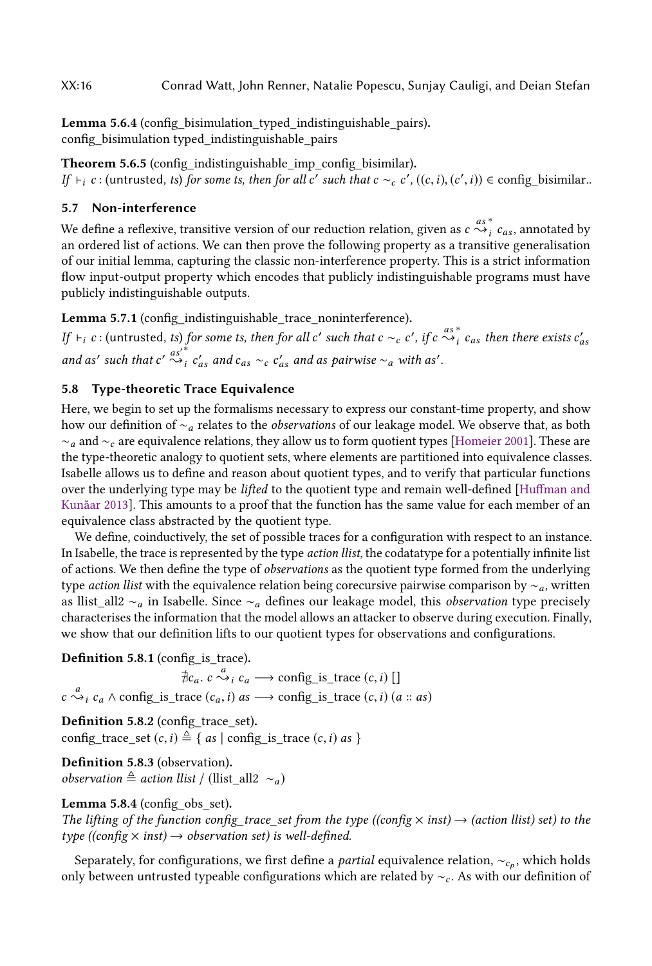Lemma 5.6.4 (config\_bisimulation\_typed\_indistinguishable\_pairs). config\_bisimulation typed\_indistinguishable\_pairs

Theorem 5.6.5 (config\_indistinguishable\_imp\_config\_bisimilar). If  $\vdash_i c$ : (untrusted, ts) for some ts, then for all c' such that  $c \sim_c c'$ , ((c, i), (c', i)) ∈ config\_bisimilar..

### 5.7 Non-interference

We define a reflexive, transitive version of our reduction relation, given as  $c \sim_{i}^{as}$ <br>an ordered list of actions. We can then prove the following property as a transit  $i \cos \theta$  cas, annotated by<br>itive generalisation an ordered list of actions. We can then prove the following property as a transitive generalisation of our initial lemma, capturing the classic non-interference property. This is a strict information flow input-output property which encodes that publicly indistinguishable programs must have publicly indistinguishable outputs.

Lemma 5.7.1 (config\_indistinguishable\_trace\_noninterference).

If  $\vdash_i c$ : (untrusted, ts) for some ts, then for all c' such that  $c \sim_c c'$ , if  $c \stackrel{as}{\leadsto_i}$ for some ts, then for all c' such that  $c \sim_c c'$ , if  $c \stackrel{a s^*}{\leadsto i} c_{as}$  then there exists  $c'_{as}$ and as' such that  $c' \stackrel{as'}{\leftrightarrow}^*_{i} c$  $'_{as}$  and  $c_{as} \sim_c c'_{as}$  and as pairwise  $\sim_a$  with as'.

# <span id="page-15-0"></span>5.8 Type-theoretic Trace Equivalence

Here, we begin to set up the formalisms necessary to express our constant-time property, and show how our definition of ∼<sup>a</sup> relates to the observations of our leakage model. We observe that, as both  $~\sim_a$  and  $~\sim_c$  are equivalence relations, they allow us to form quotient types [\[Homeier](#page-27-18) [2001\]](#page-27-18). These are the type-theoretic analogy to quotient sets, where elements are partitioned into equivalence classes. Isabelle allows us to define and reason about quotient types, and to verify that particular functions over the underlying type may be *lifted* to the quotient type and remain well-defined [\[Huffman and](#page-27-19) [Kunăar](#page-27-19) [2013\]](#page-27-19). This amounts to a proof that the function has the same value for each member of an equivalence class abstracted by the quotient type.

We define, coinductively, the set of possible traces for a configuration with respect to an instance. In Isabelle, the trace is represented by the type action llist, the codatatype for a potentially infinite list of actions. We then define the type of observations as the quotient type formed from the underlying type *action llist* with the equivalence relation being corecursive pairwise comparison by  $\sim_a$ , written as llist\_all2 ∼a in Isabelle. Since ∼a defines our leakage model, this observation type precisely characterises the information that the model allows an attacker to observe during execution. Finally, we show that our definition lifts to our quotient types for observations and configurations.

Definition 5.8.1 (config\_is\_trace).

 $\sharp c_a$ .  $c \stackrel{a}{\leadsto} i$   $c_a$  → config\_is\_trace  $(c, i)$  []  $c \stackrel{a}{\leadsto}_i c_a \wedge \text{config\_is\_trace}(c_a, i) \text{ as } \longrightarrow \text{config\_is\_trace}(c, i) \text{ (}a :: \text{as)}$ 

Definition 5.8.2 (config\_trace\_set). config\_trace\_set  $(c,i) \triangleq \{ as \mid \text{config\_is\_trace } (c,i) \text{ as } \}$ 

Definition 5.8.3 (observation). observation  $triangleq$  action llist / (llist all2 ∼a)

# Lemma 5.8.4 (config\_obs\_set).

The lifting of the function config\_trace\_set from the type ((config  $\times$  inst)  $\rightarrow$  (action llist) set) to the type ((config  $\times$  inst)  $\rightarrow$  observation set) is well-defined.

Separately, for configurations, we first define a *partial* equivalence relation,  $\sim_{c_p}$ , which holds only between untrusted typeable configurations which are related by  $\sim_c$ . As with our definition of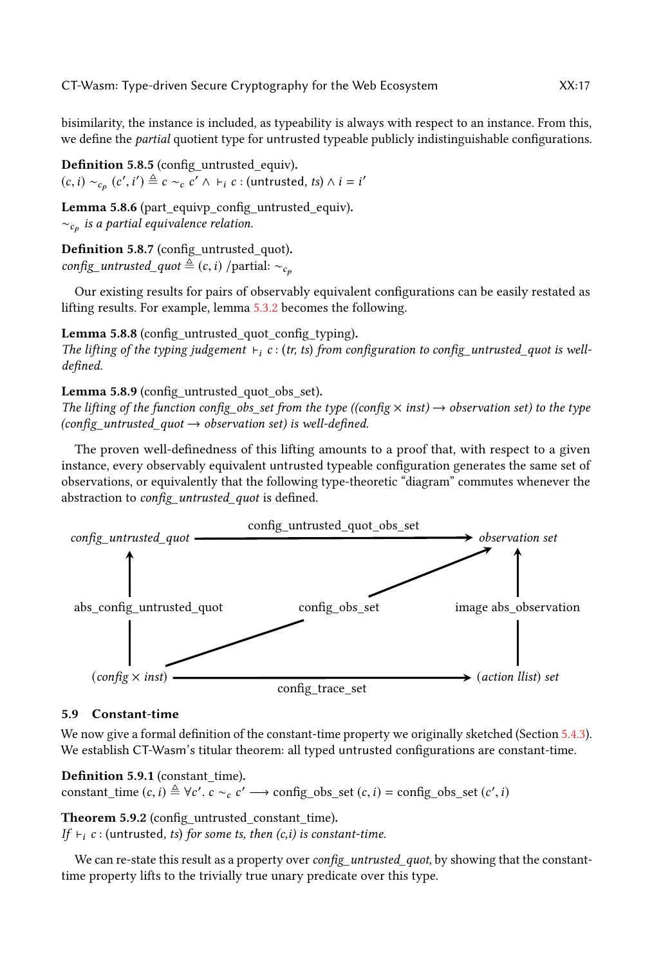bisimilarity, the instance is included, as typeability is always with respect to an instance. From this, we define the *partial* quotient type for untrusted typeable publicly indistinguishable configurations.

Definition 5.8.5 (config\_untrusted\_equiv).  $(c, i) \sim_{c_p} (c')$  $\ddot{\phantom{0}}$  $\left( \begin{array}{c} j \ \stackrel{\triangle}{=} c \sim_c c' \land \vdash_i c : (\text{untrusted, } ts) \land i = i' \end{array} \right)$ 

Lemma 5.8.6 (part\_equivp\_config\_untrusted\_equiv).  $\sim_{c_{\bm p}}$  is a partial equivalence relation.

Definition 5.8.7 (config\_untrusted\_quot). config\_untrusted\_quot  $\triangleq$  (c, i) /partial:  $\sim_{c_p}$ 

Our existing results for pairs of observably equivalent configurations can be easily restated as lifting results. For example, lemma [5.3.2](#page-12-1) becomes the following.

Lemma 5.8.8 (config untrusted quot config typing). The lifting of the typing judgement  $\vdash_i c : (tr, ts)$  from configuration to config\_untrusted\_quot is welldefined.

Lemma 5.8.9 (config\_untrusted\_quot\_obs\_set).

The lifting of the function config\_obs\_set from the type ((config  $\times$  inst)  $\rightarrow$  observation set) to the type (config\_untrusted\_quot  $\rightarrow$  observation set) is well-defined.

The proven well-definedness of this lifting amounts to a proof that, with respect to a given instance, every observably equivalent untrusted typeable configuration generates the same set of observations, or equivalently that the following type-theoretic "diagram" commutes whenever the abstraction to config untrusted quot is defined.



# <span id="page-16-0"></span>5.9 Constant-time

We now give a formal definition of the constant-time property we originally sketched (Section [5.4.3\)](#page-13-0). We establish CT-Wasm's titular theorem: all typed untrusted configurations are constant-time.

# Definition 5.9.1 (constant\_time).

constant\_time  $(c, i) \triangleq \forall c'. c \sim_c c' \longrightarrow \text{config\_obs\_set}(c, i) = \text{config\_obs\_set}(c', i)$ 

Theorem 5.9.2 (config\_untrusted\_constant\_time).

If  $\vdash_i c$  : (untrusted, ts) for some ts, then (c,i) is constant-time.

We can re-state this result as a property over config\_untrusted\_quot, by showing that the constanttime property lifts to the trivially true unary predicate over this type.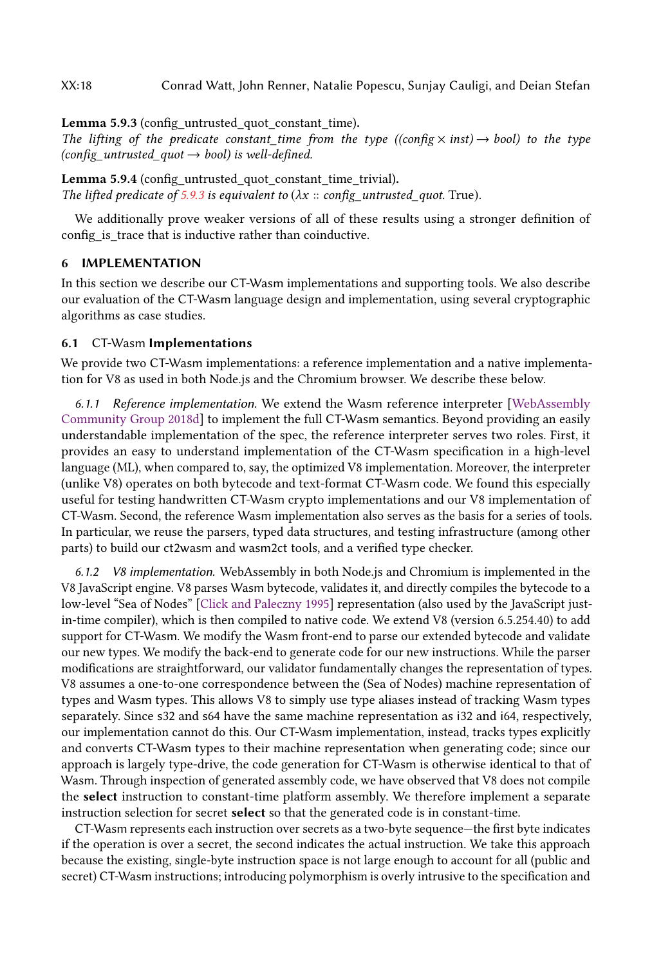XX:18 Conrad Watt, John Renner, Natalie Popescu, Sunjay Cauligi, and Deian Stefan

<span id="page-17-1"></span>Lemma 5.9.3 (config\_untrusted\_quot\_constant\_time).

The lifting of the predicate constant time from the type ((config  $\times$  inst)  $\rightarrow$  bool) to the type  $(config\_untrusted\_quot \rightarrow bool)$  is well-defined.

Lemma 5.9.4 (config\_untrusted\_quot\_constant\_time\_trivial). The lifted predicate of [5.9.3](#page-17-1) is equivalent to  $(\lambda x :: config_untrusted_quot. True)$ .

We additionally prove weaker versions of all of these results using a stronger definition of config\_is\_trace that is inductive rather than coinductive.

### <span id="page-17-0"></span>6 IMPLEMENTATION

In this section we describe our CT-Wasm implementations and supporting tools. We also describe our evaluation of the CT-Wasm language design and implementation, using several cryptographic algorithms as case studies.

#### <span id="page-17-3"></span>6.1 CT-Wasm Implementations

We provide two CT-Wasm implementations: a reference implementation and a native implementation for V8 as used in both Node.js and the Chromium browser. We describe these below.

6.1.1 Reference implementation. We extend the Wasm reference interpreter [\[WebAssembly](#page-28-14) [Community Group](#page-28-14) [2018d\]](#page-28-14) to implement the full CT-Wasm semantics. Beyond providing an easily understandable implementation of the spec, the reference interpreter serves two roles. First, it provides an easy to understand implementation of the CT-Wasm specification in a high-level language (ML), when compared to, say, the optimized V8 implementation. Moreover, the interpreter (unlike V8) operates on both bytecode and text-format CT-Wasm code. We found this especially useful for testing handwritten CT-Wasm crypto implementations and our V8 implementation of CT-Wasm. Second, the reference Wasm implementation also serves as the basis for a series of tools. In particular, we reuse the parsers, typed data structures, and testing infrastructure (among other parts) to build our ct2wasm and wasm2ct tools, and a verified type checker.

<span id="page-17-2"></span>6.1.2 V8 implementation. WebAssembly in both Node.js and Chromium is implemented in the V8 JavaScript engine. V8 parses Wasm bytecode, validates it, and directly compiles the bytecode to a low-level "Sea of Nodes" [\[Click and Paleczny](#page-26-22) [1995\]](#page-26-22) representation (also used by the JavaScript justin-time compiler), which is then compiled to native code. We extend V8 (version 6.5.254.40) to add support for CT-Wasm. We modify the Wasm front-end to parse our extended bytecode and validate our new types. We modify the back-end to generate code for our new instructions. While the parser modifications are straightforward, our validator fundamentally changes the representation of types. V8 assumes a one-to-one correspondence between the (Sea of Nodes) machine representation of types and Wasm types. This allows V8 to simply use type aliases instead of tracking Wasm types separately. Since s32 and s64 have the same machine representation as i32 and i64, respectively, our implementation cannot do this. Our CT-Wasm implementation, instead, tracks types explicitly and converts CT-Wasm types to their machine representation when generating code; since our approach is largely type-drive, the code generation for CT-Wasm is otherwise identical to that of Wasm. Through inspection of generated assembly code, we have observed that V8 does not compile the select instruction to constant-time platform assembly. We therefore implement a separate instruction selection for secret select so that the generated code is in constant-time.

CT-Wasm represents each instruction over secrets as a two-byte sequence—the first byte indicates if the operation is over a secret, the second indicates the actual instruction. We take this approach because the existing, single-byte instruction space is not large enough to account for all (public and secret) CT-Wasm instructions; introducing polymorphism is overly intrusive to the specification and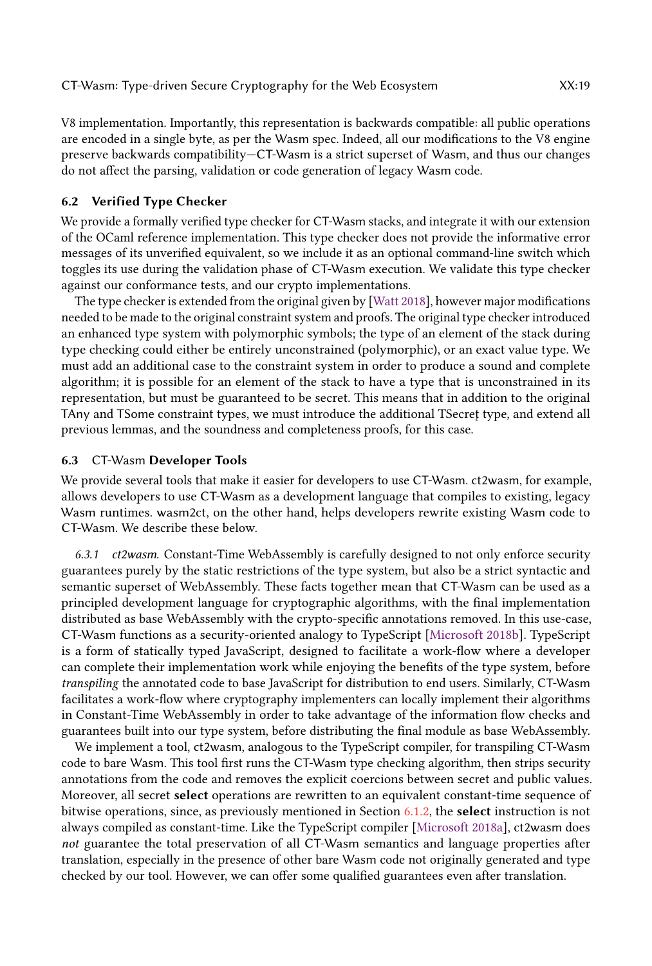V8 implementation. Importantly, this representation is backwards compatible: all public operations are encoded in a single byte, as per the Wasm spec. Indeed, all our modifications to the V8 engine preserve backwards compatibility—CT-Wasm is a strict superset of Wasm, and thus our changes do not affect the parsing, validation or code generation of legacy Wasm code.

#### 6.2 Verified Type Checker

We provide a formally verified type checker for CT-Wasm stacks, and integrate it with our extension of the OCaml reference implementation. This type checker does not provide the informative error messages of its unverified equivalent, so we include it as an optional command-line switch which toggles its use during the validation phase of CT-Wasm execution. We validate this type checker against our conformance tests, and our crypto implementations.

The type checker is extended from the original given by [\[Watt](#page-28-5) [2018\]](#page-28-5), however major modifications needed to be made to the original constraint system and proofs. The original type checker introduced an enhanced type system with polymorphic symbols; the type of an element of the stack during type checking could either be entirely unconstrained (polymorphic), or an exact value type. We must add an additional case to the constraint system in order to produce a sound and complete algorithm; it is possible for an element of the stack to have a type that is unconstrained in its representation, but must be guaranteed to be secret. This means that in addition to the original TAny and TSome constraint types, we must introduce the additional TSecret type, and extend all previous lemmas, and the soundness and completeness proofs, for this case.

### 6.3 CT-Wasm Developer Tools

We provide several tools that make it easier for developers to use CT-Wasm. ct2wasm, for example, allows developers to use CT-Wasm as a development language that compiles to existing, legacy Wasm runtimes. wasm2ct, on the other hand, helps developers rewrite existing Wasm code to CT-Wasm. We describe these below.

<span id="page-18-0"></span>6.3.1 ct2wasm. Constant-Time WebAssembly is carefully designed to not only enforce security guarantees purely by the static restrictions of the type system, but also be a strict syntactic and semantic superset of WebAssembly. These facts together mean that CT-Wasm can be used as a principled development language for cryptographic algorithms, with the final implementation distributed as base WebAssembly with the crypto-specific annotations removed. In this use-case, CT-Wasm functions as a security-oriented analogy to TypeScript [\[Microsoft](#page-27-3) [2018b\]](#page-27-3). TypeScript is a form of statically typed JavaScript, designed to facilitate a work-flow where a developer can complete their implementation work while enjoying the benefits of the type system, before transpiling the annotated code to base JavaScript for distribution to end users. Similarly, CT-Wasm facilitates a work-flow where cryptography implementers can locally implement their algorithms in Constant-Time WebAssembly in order to take advantage of the information flow checks and guarantees built into our type system, before distributing the final module as base WebAssembly.

We implement a tool, ct2wasm, analogous to the TypeScript compiler, for transpiling CT-Wasm code to bare Wasm. This tool first runs the CT-Wasm type checking algorithm, then strips security annotations from the code and removes the explicit coercions between secret and public values. Moreover, all secret select operations are rewritten to an equivalent constant-time sequence of bitwise operations, since, as previously mentioned in Section [6.1.2,](#page-17-2) the select instruction is not always compiled as constant-time. Like the TypeScript compiler [\[Microsoft](#page-27-20) [2018a\]](#page-27-20), ct2wasm does not guarantee the total preservation of all CT-Wasm semantics and language properties after translation, especially in the presence of other bare Wasm code not originally generated and type checked by our tool. However, we can offer some qualified guarantees even after translation.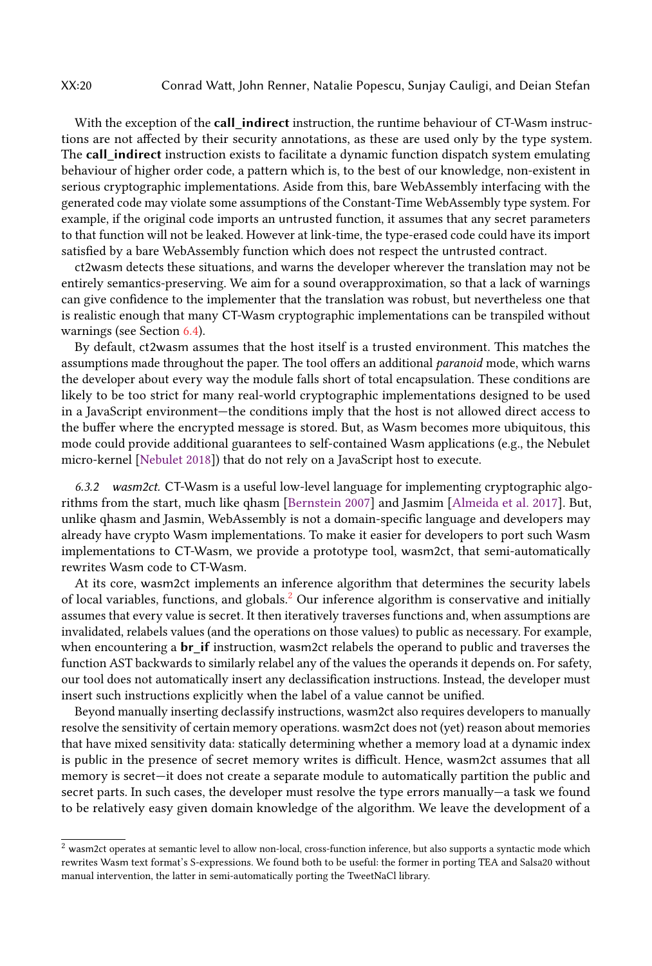With the exception of the call\_indirect instruction, the runtime behaviour of CT-Wasm instructions are not affected by their security annotations, as these are used only by the type system. The call\_indirect instruction exists to facilitate a dynamic function dispatch system emulating behaviour of higher order code, a pattern which is, to the best of our knowledge, non-existent in serious cryptographic implementations. Aside from this, bare WebAssembly interfacing with the generated code may violate some assumptions of the Constant-Time WebAssembly type system. For example, if the original code imports an untrusted function, it assumes that any secret parameters to that function will not be leaked. However at link-time, the type-erased code could have its import satisfied by a bare WebAssembly function which does not respect the untrusted contract.

ct2wasm detects these situations, and warns the developer wherever the translation may not be entirely semantics-preserving. We aim for a sound overapproximation, so that a lack of warnings can give confidence to the implementer that the translation was robust, but nevertheless one that is realistic enough that many CT-Wasm cryptographic implementations can be transpiled without warnings (see Section [6.4\)](#page-20-0).

By default, ct2wasm assumes that the host itself is a trusted environment. This matches the assumptions made throughout the paper. The tool offers an additional paranoid mode, which warns the developer about every way the module falls short of total encapsulation. These conditions are likely to be too strict for many real-world cryptographic implementations designed to be used in a JavaScript environment—the conditions imply that the host is not allowed direct access to the buffer where the encrypted message is stored. But, as Wasm becomes more ubiquitous, this mode could provide additional guarantees to self-contained Wasm applications (e.g., the Nebulet micro-kernel [\[Nebulet](#page-27-21) [2018\]](#page-27-21)) that do not rely on a JavaScript host to execute.

6.3.2 wasm2ct. CT-Wasm is a useful low-level language for implementing cryptographic algorithms from the start, much like qhasm [\[Bernstein](#page-26-23) [2007\]](#page-26-23) and Jasmim [\[Almeida et al.](#page-25-3) [2017\]](#page-25-3). But, unlike qhasm and Jasmin, WebAssembly is not a domain-specific language and developers may already have crypto Wasm implementations. To make it easier for developers to port such Wasm implementations to CT-Wasm, we provide a prototype tool, wasm2ct, that semi-automatically rewrites Wasm code to CT-Wasm.

At its core, wasm2ct implements an inference algorithm that determines the security labels of local variables, functions, and globals.[2](#page-19-0) Our inference algorithm is conservative and initially assumes that every value is secret. It then iteratively traverses functions and, when assumptions are invalidated, relabels values (and the operations on those values) to public as necessary. For example, when encountering a **br\_if** instruction, wasm2ct relabels the operand to public and traverses the function AST backwards to similarly relabel any of the values the operands it depends on. For safety, our tool does not automatically insert any declassification instructions. Instead, the developer must insert such instructions explicitly when the label of a value cannot be unified.

Beyond manually inserting declassify instructions, wasm2ct also requires developers to manually resolve the sensitivity of certain memory operations. wasm2ct does not (yet) reason about memories that have mixed sensitivity data: statically determining whether a memory load at a dynamic index is public in the presence of secret memory writes is difficult. Hence, wasm2ct assumes that all memory is secret—it does not create a separate module to automatically partition the public and secret parts. In such cases, the developer must resolve the type errors manually—a task we found to be relatively easy given domain knowledge of the algorithm. We leave the development of a

<span id="page-19-0"></span> $^2$  wasm2ct operates at semantic level to allow non-local, cross-function inference, but also supports a syntactic mode which rewrites Wasm text format's S-expressions. We found both to be useful: the former in porting TEA and Salsa20 without manual intervention, the latter in semi-automatically porting the TweetNaCl library.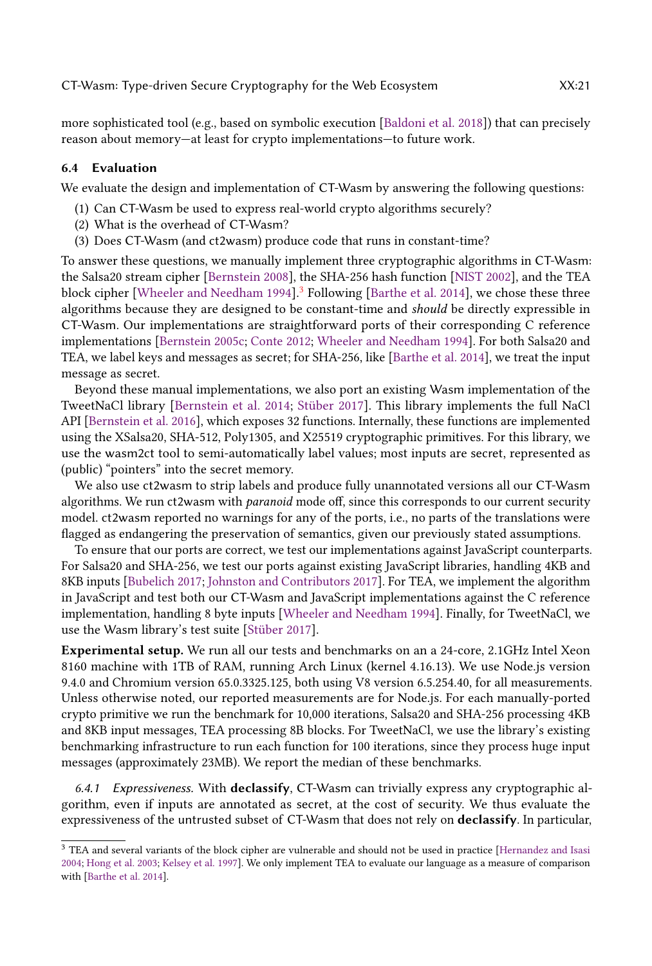more sophisticated tool (e.g., based on symbolic execution [\[Baldoni et al.](#page-25-7) [2018\]](#page-25-7)) that can precisely reason about memory—at least for crypto implementations—to future work.

### <span id="page-20-0"></span>6.4 Evaluation

We evaluate the design and implementation of CT-Wasm by answering the following questions:

- (1) Can CT-Wasm be used to express real-world crypto algorithms securely?
- (2) What is the overhead of CT-Wasm?
- (3) Does CT-Wasm (and ct2wasm) produce code that runs in constant-time?

To answer these questions, we manually implement three cryptographic algorithms in CT-Wasm: the Salsa20 stream cipher [\[Bernstein](#page-26-7) [2008\]](#page-26-7), the SHA-256 hash function [\[NIST](#page-27-22) [2002\]](#page-27-22), and the TEA block cipher [\[Wheeler and Needham](#page-28-15) [1994\]](#page-28-15).<sup>[3](#page-20-1)</sup> Following [\[Barthe et al.](#page-25-0) [2014\]](#page-25-0), we chose these three algorithms because they are designed to be constant-time and should be directly expressible in CT-Wasm. Our implementations are straightforward ports of their corresponding C reference implementations [\[Bernstein](#page-25-8) [2005c;](#page-25-8) [Conte](#page-26-24) [2012;](#page-26-24) [Wheeler and Needham](#page-28-15) [1994\]](#page-28-15). For both Salsa20 and TEA, we label keys and messages as secret; for SHA-256, like [\[Barthe et al.](#page-25-0) [2014\]](#page-25-0), we treat the input message as secret.

Beyond these manual implementations, we also port an existing Wasm implementation of the TweetNaCl library [\[Bernstein et al.](#page-26-4) [2014;](#page-26-4) [Stüber](#page-28-16) [2017\]](#page-28-16). This library implements the full NaCl API [\[Bernstein et al.](#page-26-20) [2016\]](#page-26-20), which exposes 32 functions. Internally, these functions are implemented using the XSalsa20, SHA-512, Poly1305, and X25519 cryptographic primitives. For this library, we use the wasm2ct tool to semi-automatically label values; most inputs are secret, represented as (public) "pointers" into the secret memory.

We also use ct2wasm to strip labels and produce fully unannotated versions all our CT-Wasm algorithms. We run ct2wasm with *paranoid* mode off, since this corresponds to our current security model. ct2wasm reported no warnings for any of the ports, i.e., no parts of the translations were flagged as endangering the preservation of semantics, given our previously stated assumptions.

To ensure that our ports are correct, we test our implementations against JavaScript counterparts. For Salsa20 and SHA-256, we test our ports against existing JavaScript libraries, handling 4KB and 8KB inputs [\[Bubelich](#page-26-25) [2017;](#page-26-25) [Johnston and Contributors](#page-27-23) [2017\]](#page-27-23). For TEA, we implement the algorithm in JavaScript and test both our CT-Wasm and JavaScript implementations against the C reference implementation, handling 8 byte inputs [\[Wheeler and Needham](#page-28-15) [1994\]](#page-28-15). Finally, for TweetNaCl, we use the Wasm library's test suite [\[Stüber](#page-28-16) [2017\]](#page-28-16).

Experimental setup. We run all our tests and benchmarks on an a 24-core, 2.1GHz Intel Xeon 8160 machine with 1TB of RAM, running Arch Linux (kernel 4.16.13). We use Node.js version 9.4.0 and Chromium version 65.0.3325.125, both using V8 version 6.5.254.40, for all measurements. Unless otherwise noted, our reported measurements are for Node.js. For each manually-ported crypto primitive we run the benchmark for 10,000 iterations, Salsa20 and SHA-256 processing 4KB and 8KB input messages, TEA processing 8B blocks. For TweetNaCl, we use the library's existing benchmarking infrastructure to run each function for 100 iterations, since they process huge input messages (approximately 23MB). We report the median of these benchmarks.

6.4.1 Expressiveness. With declassify, CT-Wasm can trivially express any cryptographic algorithm, even if inputs are annotated as secret, at the cost of security. We thus evaluate the expressiveness of the untrusted subset of CT-Wasm that does not rely on declassify. In particular,

<span id="page-20-1"></span><sup>3</sup> TEA and several variants of the block cipher are vulnerable and should not be used in practice [\[Hernandez and Isasi](#page-26-26) [2004;](#page-26-26) [Hong et al.](#page-27-24) [2003;](#page-27-24) [Kelsey et al.](#page-27-25) [1997\]](#page-27-25). We only implement TEA to evaluate our language as a measure of comparison with [\[Barthe et al.](#page-25-0) [2014\]](#page-25-0).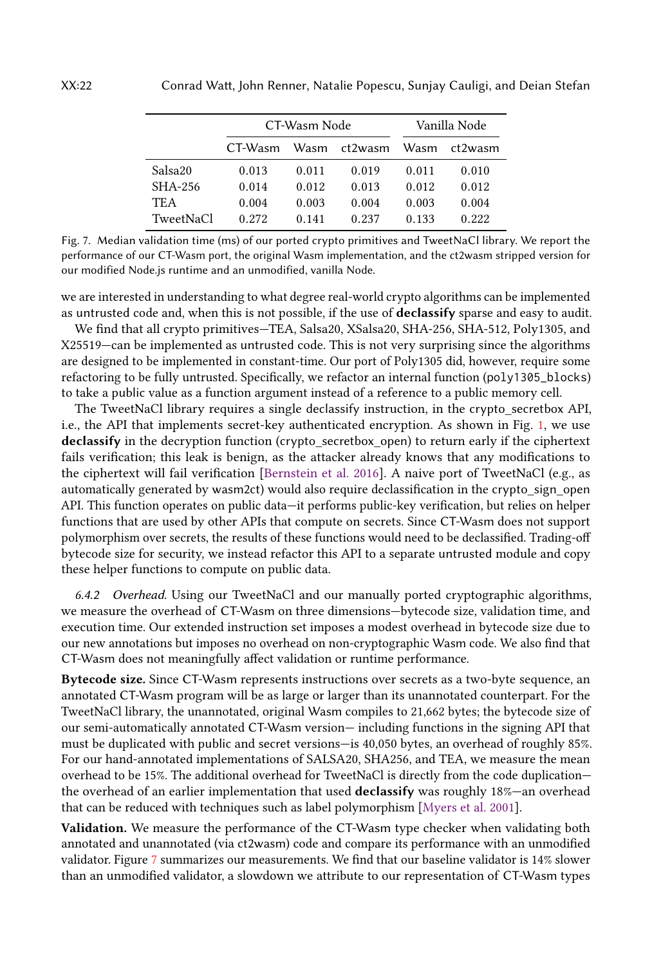<span id="page-21-0"></span>

|           |         | CT-Wasm Node | Vanilla Node |       |         |
|-----------|---------|--------------|--------------|-------|---------|
|           | CT-Wasm | Wasm         | ct2wasm      | Wasm  | ct2wasm |
| Salsa20   | 0.013   | 0.011        | 0.019        | 0.011 | 0.010   |
| SHA-256   | 0.014   | 0.012        | 0.013        | 0.012 | 0.012   |
| TE A      | 0.004   | 0.003        | 0.004        | 0.003 | 0.004   |
| TweetNaCl | 0.272   | 0.141        | 0.237        | 0.133 | 0.222   |
|           |         |              |              |       |         |

Fig. 7. Median validation time (ms) of our ported crypto primitives and TweetNaCl library. We report the performance of our CT-Wasm port, the original Wasm implementation, and the ct2wasm stripped version for our modified Node.js runtime and an unmodified, vanilla Node.

we are interested in understanding to what degree real-world crypto algorithms can be implemented as untrusted code and, when this is not possible, if the use of declassify sparse and easy to audit.

We find that all crypto primitives—TEA, Salsa20, XSalsa20, SHA-256, SHA-512, Poly1305, and X25519—can be implemented as untrusted code. This is not very surprising since the algorithms are designed to be implemented in constant-time. Our port of Poly1305 did, however, require some refactoring to be fully untrusted. Specifically, we refactor an internal function (poly1305\_blocks) to take a public value as a function argument instead of a reference to a public memory cell.

The TweetNaCl library requires a single declassify instruction, in the crypto\_secretbox API, i.e., the API that implements secret-key authenticated encryption. As shown in Fig. [1,](#page-4-0) we use declassify in the decryption function (crypto\_secretbox\_open) to return early if the ciphertext fails verification; this leak is benign, as the attacker already knows that any modifications to the ciphertext will fail verification [\[Bernstein et al.](#page-26-20) [2016\]](#page-26-20). A naive port of TweetNaCl (e.g., as automatically generated by wasm2ct) would also require declassification in the crypto\_sign\_open API. This function operates on public data—it performs public-key verification, but relies on helper functions that are used by other APIs that compute on secrets. Since CT-Wasm does not support polymorphism over secrets, the results of these functions would need to be declassified. Trading-off bytecode size for security, we instead refactor this API to a separate untrusted module and copy these helper functions to compute on public data.

6.4.2 Overhead. Using our TweetNaCl and our manually ported cryptographic algorithms, we measure the overhead of CT-Wasm on three dimensions—bytecode size, validation time, and execution time. Our extended instruction set imposes a modest overhead in bytecode size due to our new annotations but imposes no overhead on non-cryptographic Wasm code. We also find that CT-Wasm does not meaningfully affect validation or runtime performance.

Bytecode size. Since CT-Wasm represents instructions over secrets as a two-byte sequence, an annotated CT-Wasm program will be as large or larger than its unannotated counterpart. For the TweetNaCl library, the unannotated, original Wasm compiles to 21,662 bytes; the bytecode size of our semi-automatically annotated CT-Wasm version— including functions in the signing API that must be duplicated with public and secret versions—is 40,050 bytes, an overhead of roughly 85%. For our hand-annotated implementations of SALSA20, SHA256, and TEA, we measure the mean overhead to be 15%. The additional overhead for TweetNaCl is directly from the code duplication the overhead of an earlier implementation that used **declassify** was roughly 18%—an overhead that can be reduced with techniques such as label polymorphism [\[Myers et al.](#page-27-12) [2001\]](#page-27-12).

Validation. We measure the performance of the CT-Wasm type checker when validating both annotated and unannotated (via ct2wasm) code and compare its performance with an unmodified validator. Figure [7](#page-21-0) summarizes our measurements. We find that our baseline validator is 14% slower than an unmodified validator, a slowdown we attribute to our representation of CT-Wasm types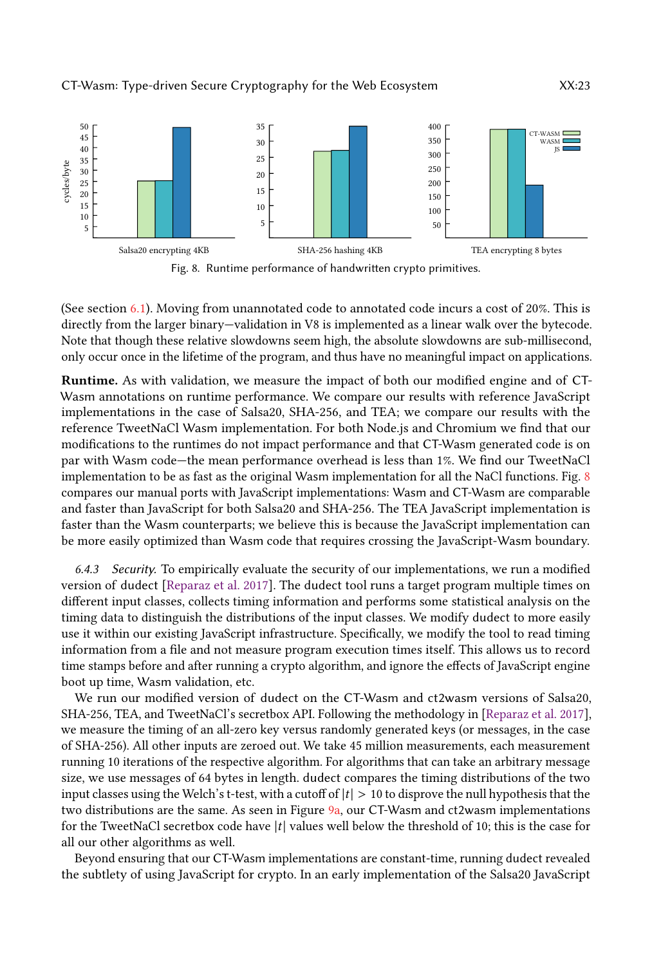<span id="page-22-0"></span>



(See section [6.1\)](#page-17-3). Moving from unannotated code to annotated code incurs a cost of 20%. This is directly from the larger binary—validation in V8 is implemented as a linear walk over the bytecode. Note that though these relative slowdowns seem high, the absolute slowdowns are sub-millisecond, only occur once in the lifetime of the program, and thus have no meaningful impact on applications.

Runtime. As with validation, we measure the impact of both our modified engine and of CT-Wasm annotations on runtime performance. We compare our results with reference JavaScript implementations in the case of Salsa20, SHA-256, and TEA; we compare our results with the reference TweetNaCl Wasm implementation. For both Node.js and Chromium we find that our modifications to the runtimes do not impact performance and that CT-Wasm generated code is on par with Wasm code—the mean performance overhead is less than 1%. We find our TweetNaCl implementation to be as fast as the original Wasm implementation for all the NaCl functions. Fig. [8](#page-22-0) compares our manual ports with JavaScript implementations: Wasm and CT-Wasm are comparable and faster than JavaScript for both Salsa20 and SHA-256. The TEA JavaScript implementation is faster than the Wasm counterparts; we believe this is because the JavaScript implementation can be more easily optimized than Wasm code that requires crossing the JavaScript-Wasm boundary.

6.4.3 Security. To empirically evaluate the security of our implementations, we run a modified version of dudect [\[Reparaz et al.](#page-27-26) [2017\]](#page-27-26). The dudect tool runs a target program multiple times on different input classes, collects timing information and performs some statistical analysis on the timing data to distinguish the distributions of the input classes. We modify dudect to more easily use it within our existing JavaScript infrastructure. Specifically, we modify the tool to read timing information from a file and not measure program execution times itself. This allows us to record time stamps before and after running a crypto algorithm, and ignore the effects of JavaScript engine boot up time, Wasm validation, etc.

We run our modified version of dudect on the CT-Wasm and ct2wasm versions of Salsa20, SHA-256, TEA, and TweetNaCl's secretbox API. Following the methodology in [\[Reparaz et al.](#page-27-26) [2017\]](#page-27-26), we measure the timing of an all-zero key versus randomly generated keys (or messages, in the case of SHA-256). All other inputs are zeroed out. We take 45 million measurements, each measurement running 10 iterations of the respective algorithm. For algorithms that can take an arbitrary message size, we use messages of 64 bytes in length. dudect compares the timing distributions of the two input classes using the Welch's t-test, with a cutoff of  $|t| > 10$  to disprove the null hypothesis that the two distributions are the same. As seen in Figure [9a,](#page-23-1) our CT-Wasm and ct2wasm implementations for the TweetNaCl secretbox code have  $|t|$  values well below the threshold of 10; this is the case for all our other algorithms as well.

Beyond ensuring that our CT-Wasm implementations are constant-time, running dudect revealed the subtlety of using JavaScript for crypto. In an early implementation of the Salsa20 JavaScript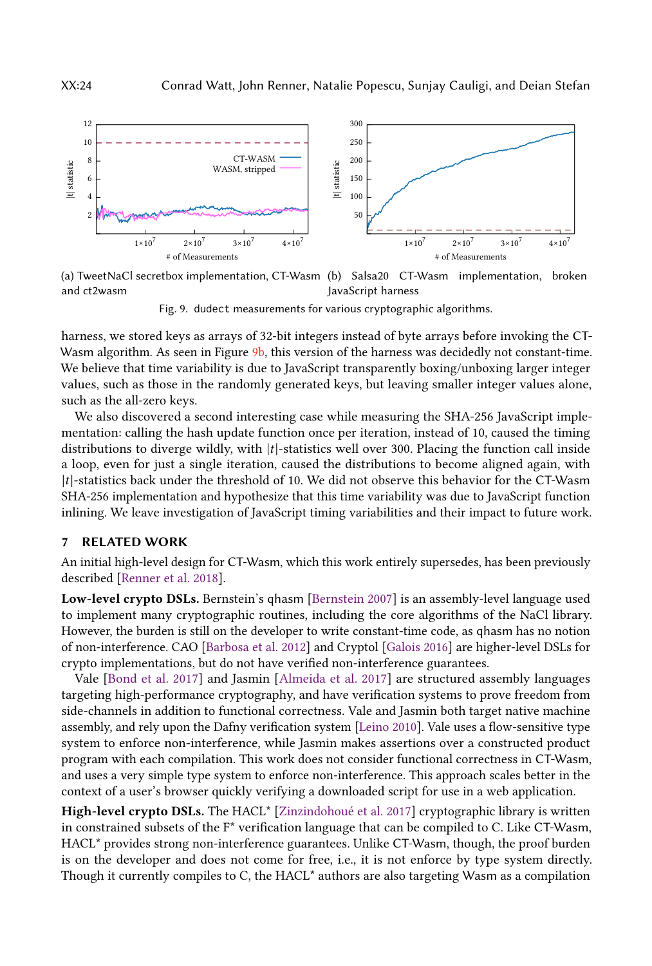<span id="page-23-1"></span>

(a) TweetNaCl secretbox implementation, CT-Wasm (b) Salsa20 CT-Wasm implementation, broken and ct2wasm JavaScript harness

Fig. 9. dudect measurements for various cryptographic algorithms.

harness, we stored keys as arrays of 32-bit integers instead of byte arrays before invoking the CT-Wasm algorithm. As seen in Figure [9b,](#page-23-1) this version of the harness was decidedly not constant-time. We believe that time variability is due to JavaScript transparently boxing/unboxing larger integer values, such as those in the randomly generated keys, but leaving smaller integer values alone, such as the all-zero keys.

We also discovered a second interesting case while measuring the SHA-256 JavaScript implementation: calling the hash update function once per iteration, instead of 10, caused the timing distributions to diverge wildly, with  $|t|$ -statistics well over 300. Placing the function call inside a loop, even for just a single iteration, caused the distributions to become aligned again, with  $|t|$ -statistics back under the threshold of 10. We did not observe this behavior for the CT-Wasm SHA-256 implementation and hypothesize that this time variability was due to JavaScript function inlining. We leave investigation of JavaScript timing variabilities and their impact to future work.

### <span id="page-23-0"></span>7 RELATED WORK

An initial high-level design for CT-Wasm, which this work entirely supersedes, has been previously described [\[Renner et al.](#page-27-27) [2018\]](#page-27-27).

Low-level crypto DSLs. Bernstein's qhasm [\[Bernstein](#page-26-23) [2007\]](#page-26-23) is an assembly-level language used to implement many cryptographic routines, including the core algorithms of the NaCl library. However, the burden is still on the developer to write constant-time code, as qhasm has no notion of non-interference. CAO [\[Barbosa et al.](#page-25-9) [2012\]](#page-25-9) and Cryptol [\[Galois](#page-26-27) [2016\]](#page-26-27) are higher-level DSLs for crypto implementations, but do not have verified non-interference guarantees.

Vale [\[Bond et al.](#page-26-10) [2017\]](#page-26-10) and Jasmin [\[Almeida et al.](#page-25-3) [2017\]](#page-25-3) are structured assembly languages targeting high-performance cryptography, and have verification systems to prove freedom from side-channels in addition to functional correctness. Vale and Jasmin both target native machine assembly, and rely upon the Dafny verification system [\[Leino](#page-27-28) [2010\]](#page-27-28). Vale uses a flow-sensitive type system to enforce non-interference, while Jasmin makes assertions over a constructed product program with each compilation. This work does not consider functional correctness in CT-Wasm, and uses a very simple type system to enforce non-interference. This approach scales better in the context of a user's browser quickly verifying a downloaded script for use in a web application.

High-level crypto DSLs. The HACL<sup>\*</sup> [\[Zinzindohoué et al.](#page-28-6) [2017\]](#page-28-6) cryptographic library is written in constrained subsets of the F\* verification language that can be compiled to C. Like CT-Wasm, HACL\* provides strong non-interference guarantees. Unlike CT-Wasm, though, the proof burden is on the developer and does not come for free, i.e., it is not enforce by type system directly. Though it currently compiles to C, the HACL\* authors are also targeting Wasm as a compilation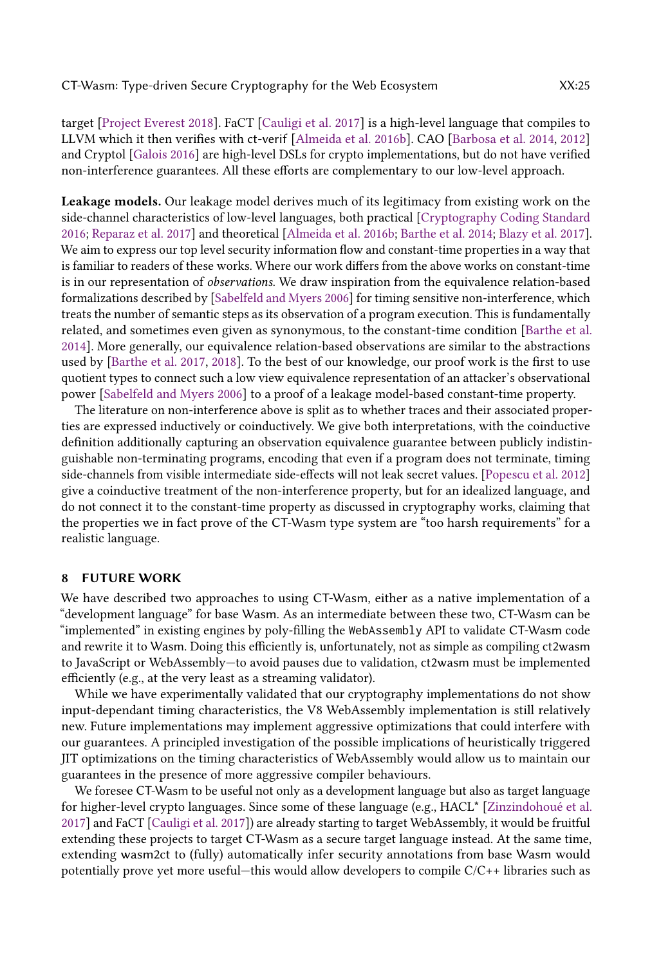target [\[Project Everest](#page-27-29) [2018\]](#page-27-29). FaCT [\[Cauligi et al.](#page-26-11) [2017\]](#page-26-11) is a high-level language that compiles to LLVM which it then verifies with ct-verif [\[Almeida et al.](#page-25-5) [2016b\]](#page-25-5). CAO [\[Barbosa et al.](#page-25-10) [2014,](#page-25-10) [2012\]](#page-25-9) and Cryptol [\[Galois](#page-26-27) [2016\]](#page-26-27) are high-level DSLs for crypto implementations, but do not have verified non-interference guarantees. All these efforts are complementary to our low-level approach.

Leakage models. Our leakage model derives much of its legitimacy from existing work on the side-channel characteristics of low-level languages, both practical [\[Cryptography Coding Standard](#page-26-8) [2016;](#page-26-8) [Reparaz et al.](#page-27-26) [2017\]](#page-27-26) and theoretical [\[Almeida et al.](#page-25-5) [2016b;](#page-25-5) [Barthe et al.](#page-25-0) [2014;](#page-25-0) [Blazy et al.](#page-26-9) [2017\]](#page-26-9). We aim to express our top level security information flow and constant-time properties in a way that is familiar to readers of these works. Where our work differs from the above works on constant-time is in our representation of observations. We draw inspiration from the equivalence relation-based formalizations described by [\[Sabelfeld and Myers](#page-28-9) [2006\]](#page-28-9) for timing sensitive non-interference, which treats the number of semantic steps as its observation of a program execution. This is fundamentally related, and sometimes even given as synonymous, to the constant-time condition [\[Barthe et al.](#page-25-0) [2014\]](#page-25-0). More generally, our equivalence relation-based observations are similar to the abstractions used by [\[Barthe et al.](#page-25-11) [2017,](#page-25-11) [2018\]](#page-25-12). To the best of our knowledge, our proof work is the first to use quotient types to connect such a low view equivalence representation of an attacker's observational power [\[Sabelfeld and Myers](#page-28-9) [2006\]](#page-28-9) to a proof of a leakage model-based constant-time property.

The literature on non-interference above is split as to whether traces and their associated properties are expressed inductively or coinductively. We give both interpretations, with the coinductive definition additionally capturing an observation equivalence guarantee between publicly indistinguishable non-terminating programs, encoding that even if a program does not terminate, timing side-channels from visible intermediate side-effects will not leak secret values. [\[Popescu et al.](#page-27-17) [2012\]](#page-27-17) give a coinductive treatment of the non-interference property, but for an idealized language, and do not connect it to the constant-time property as discussed in cryptography works, claiming that the properties we in fact prove of the CT-Wasm type system are "too harsh requirements" for a realistic language.

### <span id="page-24-0"></span>8 FUTURE WORK

We have described two approaches to using CT-Wasm, either as a native implementation of a "development language" for base Wasm. As an intermediate between these two, CT-Wasm can be "implemented" in existing engines by poly-filling the WebAssembly API to validate CT-Wasm code and rewrite it to Wasm. Doing this efficiently is, unfortunately, not as simple as compiling ct2wasm to JavaScript or WebAssembly—to avoid pauses due to validation, ct2wasm must be implemented efficiently (e.g., at the very least as a streaming validator).

While we have experimentally validated that our cryptography implementations do not show input-dependant timing characteristics, the V8 WebAssembly implementation is still relatively new. Future implementations may implement aggressive optimizations that could interfere with our guarantees. A principled investigation of the possible implications of heuristically triggered JIT optimizations on the timing characteristics of WebAssembly would allow us to maintain our guarantees in the presence of more aggressive compiler behaviours.

We foresee CT-Wasm to be useful not only as a development language but also as target language for higher-level crypto languages. Since some of these language (e.g., HACL\* [\[Zinzindohoué et al.](#page-28-6) [2017\]](#page-28-6) and FaCT [\[Cauligi et al.](#page-26-11) [2017\]](#page-26-11)) are already starting to target WebAssembly, it would be fruitful extending these projects to target CT-Wasm as a secure target language instead. At the same time, extending wasm2ct to (fully) automatically infer security annotations from base Wasm would potentially prove yet more useful—this would allow developers to compile C/C++ libraries such as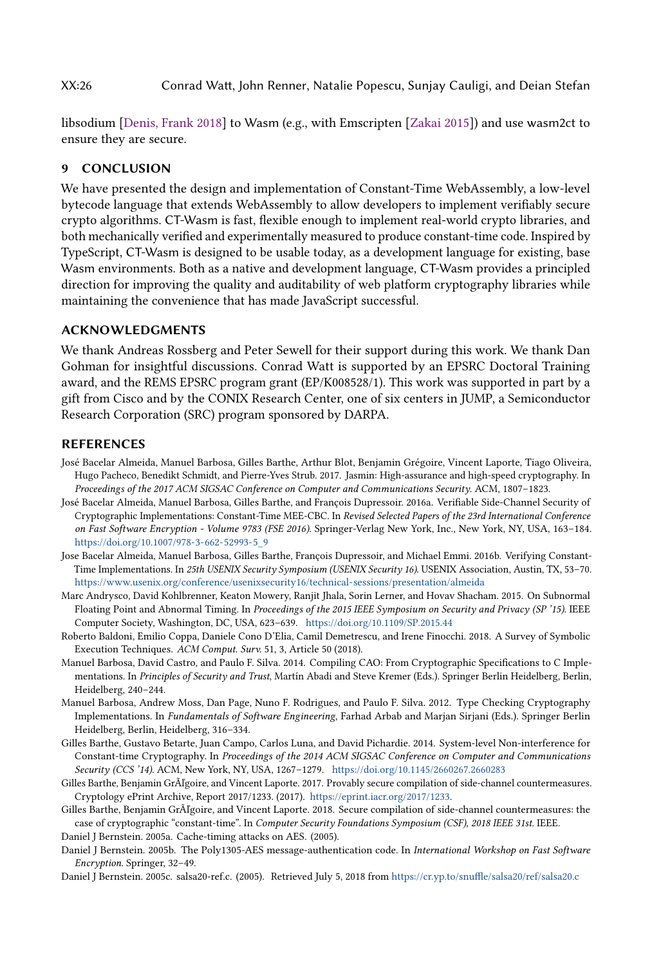XX:26 Conrad Watt, John Renner, Natalie Popescu, Sunjay Cauligi, and Deian Stefan

libsodium [\[Denis, Frank](#page-26-28) [2018\]](#page-26-28) to Wasm (e.g., with Emscripten [\[Zakai](#page-28-17) [2015\]](#page-28-17)) and use wasm2ct to ensure they are secure.

# 9 CONCLUSION

We have presented the design and implementation of Constant-Time WebAssembly, a low-level bytecode language that extends WebAssembly to allow developers to implement verifiably secure crypto algorithms. CT-Wasm is fast, flexible enough to implement real-world crypto libraries, and both mechanically verified and experimentally measured to produce constant-time code. Inspired by TypeScript, CT-Wasm is designed to be usable today, as a development language for existing, base Wasm environments. Both as a native and development language, CT-Wasm provides a principled direction for improving the quality and auditability of web platform cryptography libraries while maintaining the convenience that has made JavaScript successful.

# ACKNOWLEDGMENTS

We thank Andreas Rossberg and Peter Sewell for their support during this work. We thank Dan Gohman for insightful discussions. Conrad Watt is supported by an EPSRC Doctoral Training award, and the REMS EPSRC program grant (EP/K008528/1). This work was supported in part by a gift from Cisco and by the CONIX Research Center, one of six centers in JUMP, a Semiconductor Research Corporation (SRC) program sponsored by DARPA.

# REFERENCES

- <span id="page-25-3"></span>José Bacelar Almeida, Manuel Barbosa, Gilles Barthe, Arthur Blot, Benjamin Grégoire, Vincent Laporte, Tiago Oliveira, Hugo Pacheco, Benedikt Schmidt, and Pierre-Yves Strub. 2017. Jasmin: High-assurance and high-speed cryptography. In Proceedings of the 2017 ACM SIGSAC Conference on Computer and Communications Security. ACM, 1807–1823.
- <span id="page-25-4"></span>José Bacelar Almeida, Manuel Barbosa, Gilles Barthe, and François Dupressoir. 2016a. Verifiable Side-Channel Security of Cryptographic Implementations: Constant-Time MEE-CBC. In Revised Selected Papers of the 23rd International Conference on Fast Software Encryption - Volume 9783 (FSE 2016). Springer-Verlag New York, Inc., New York, NY, USA, 163–184. [https://doi.org/10.1007/978-3-662-52993-5\\_9](https://doi.org/10.1007/978-3-662-52993-5_9)
- <span id="page-25-5"></span>Jose Bacelar Almeida, Manuel Barbosa, Gilles Barthe, François Dupressoir, and Michael Emmi. 2016b. Verifying Constant-Time Implementations. In 25th USENIX Security Symposium (USENIX Security 16). USENIX Association, Austin, TX, 53–70. <https://www.usenix.org/conference/usenixsecurity16/technical-sessions/presentation/almeida>
- <span id="page-25-6"></span>Marc Andrysco, David Kohlbrenner, Keaton Mowery, Ranjit Jhala, Sorin Lerner, and Hovav Shacham. 2015. On Subnormal Floating Point and Abnormal Timing. In Proceedings of the 2015 IEEE Symposium on Security and Privacy (SP '15). IEEE Computer Society, Washington, DC, USA, 623–639. <https://doi.org/10.1109/SP.2015.44>
- <span id="page-25-7"></span>Roberto Baldoni, Emilio Coppa, Daniele Cono D'Elia, Camil Demetrescu, and Irene Finocchi. 2018. A Survey of Symbolic Execution Techniques. ACM Comput. Surv. 51, 3, Article 50 (2018).
- <span id="page-25-10"></span>Manuel Barbosa, David Castro, and Paulo F. Silva. 2014. Compiling CAO: From Cryptographic Specifications to C Implementations. In Principles of Security and Trust, Martín Abadi and Steve Kremer (Eds.). Springer Berlin Heidelberg, Berlin, Heidelberg, 240–244.
- <span id="page-25-9"></span>Manuel Barbosa, Andrew Moss, Dan Page, Nuno F. Rodrigues, and Paulo F. Silva. 2012. Type Checking Cryptography Implementations. In Fundamentals of Software Engineering, Farhad Arbab and Marjan Sirjani (Eds.). Springer Berlin Heidelberg, Berlin, Heidelberg, 316–334.
- <span id="page-25-0"></span>Gilles Barthe, Gustavo Betarte, Juan Campo, Carlos Luna, and David Pichardie. 2014. System-level Non-interference for Constant-time Cryptography. In Proceedings of the 2014 ACM SIGSAC Conference on Computer and Communications Security (CCS '14). ACM, New York, NY, USA, 1267–1279. <https://doi.org/10.1145/2660267.2660283>
- <span id="page-25-11"></span>Gilles Barthe, Benjamin GrÃľgoire, and Vincent Laporte. 2017. Provably secure compilation of side-channel countermeasures. Cryptology ePrint Archive, Report 2017/1233. (2017). [https://eprint.iacr.org/2017/1233.](https://eprint.iacr.org/2017/1233)
- <span id="page-25-12"></span>Gilles Barthe, Benjamin GrÃľgoire, and Vincent Laporte. 2018. Secure compilation of side-channel countermeasures: the case of cryptographic "constant-time". In Computer Security Foundations Symposium (CSF), 2018 IEEE 31st. IEEE.

<span id="page-25-1"></span>Daniel J Bernstein. 2005a. Cache-timing attacks on AES. (2005).

- <span id="page-25-2"></span>Daniel J Bernstein. 2005b. The Poly1305-AES message-authentication code. In International Workshop on Fast Software Encryption. Springer, 32–49.
- <span id="page-25-8"></span>Daniel J Bernstein. 2005c. salsa20-ref.c. (2005). Retrieved July 5, 2018 from <https://cr.yp.to/snuffle/salsa20/ref/salsa20.c>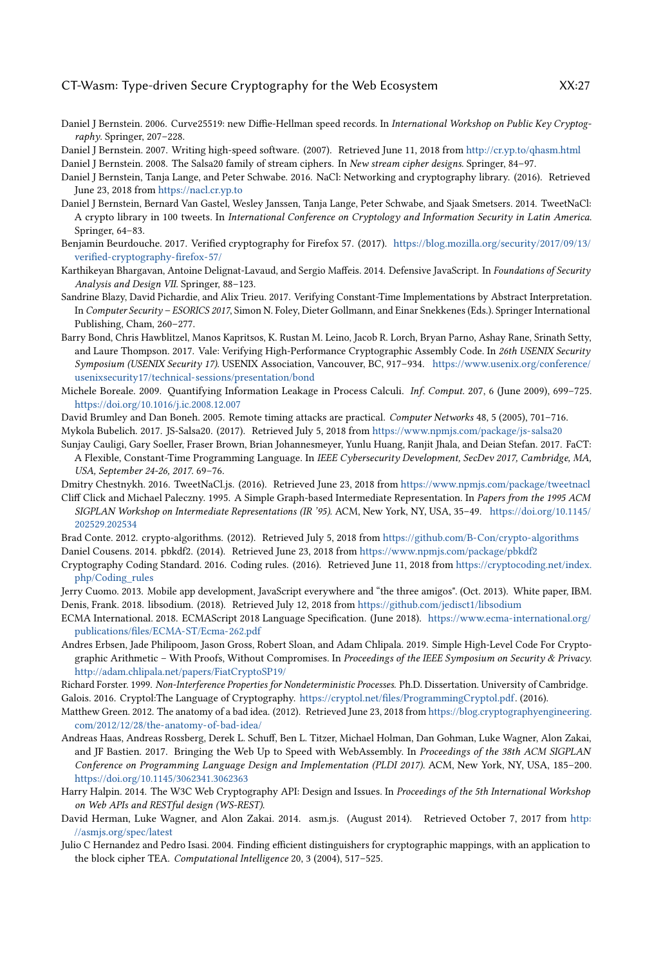- <span id="page-26-6"></span>Daniel J Bernstein. 2006. Curve25519: new Diffie-Hellman speed records. In International Workshop on Public Key Cryptography. Springer, 207–228.
- <span id="page-26-23"></span><span id="page-26-7"></span>Daniel J Bernstein. 2007. Writing high-speed software. (2007). Retrieved June 11, 2018 from <http://cr.yp.to/qhasm.html> Daniel J Bernstein. 2008. The Salsa20 family of stream ciphers. In New stream cipher designs. Springer, 84–97.
- <span id="page-26-20"></span>Daniel J Bernstein, Tanja Lange, and Peter Schwabe. 2016. NaCl: Networking and cryptography library. (2016). Retrieved June 23, 2018 from <https://nacl.cr.yp.to>
- <span id="page-26-4"></span>Daniel J Bernstein, Bernard Van Gastel, Wesley Janssen, Tanja Lange, Peter Schwabe, and Sjaak Smetsers. 2014. TweetNaCl: A crypto library in 100 tweets. In International Conference on Cryptology and Information Security in Latin America. Springer, 64–83.
- <span id="page-26-14"></span>Benjamin Beurdouche. 2017. Verified cryptography for Firefox 57. (2017). [https://blog.mozilla.org/security/2017/09/13/](https://blog.mozilla.org/security/2017/09/13/verified-cryptography-firefox-57/) [verified-cryptography-firefox-57/](https://blog.mozilla.org/security/2017/09/13/verified-cryptography-firefox-57/)
- <span id="page-26-17"></span>Karthikeyan Bhargavan, Antoine Delignat-Lavaud, and Sergio Maffeis. 2014. Defensive JavaScript. In Foundations of Security Analysis and Design VII. Springer, 88–123.
- <span id="page-26-9"></span>Sandrine Blazy, David Pichardie, and Alix Trieu. 2017. Verifying Constant-Time Implementations by Abstract Interpretation. In Computer Security – ESORICS 2017, Simon N. Foley, Dieter Gollmann, and Einar Snekkenes (Eds.). Springer International Publishing, Cham, 260–277.
- <span id="page-26-10"></span>Barry Bond, Chris Hawblitzel, Manos Kapritsos, K. Rustan M. Leino, Jacob R. Lorch, Bryan Parno, Ashay Rane, Srinath Setty, and Laure Thompson. 2017. Vale: Verifying High-Performance Cryptographic Assembly Code. In 26th USENIX Security Symposium (USENIX Security 17). USENIX Association, Vancouver, BC, 917–934. [https://www.usenix.org/conference/](https://www.usenix.org/conference/usenixsecurity17/technical-sessions/presentation/bond) [usenixsecurity17/technical-sessions/presentation/bond](https://www.usenix.org/conference/usenixsecurity17/technical-sessions/presentation/bond)
- <span id="page-26-13"></span>Michele Boreale. 2009. Quantifying Information Leakage in Process Calculi. Inf. Comput. 207, 6 (June 2009), 699–725. <https://doi.org/10.1016/j.ic.2008.12.007>
- <span id="page-26-5"></span>David Brumley and Dan Boneh. 2005. Remote timing attacks are practical. Computer Networks 48, 5 (2005), 701-716.

<span id="page-26-25"></span>Mykola Bubelich. 2017. JS-Salsa20. (2017). Retrieved July 5, 2018 from <https://www.npmjs.com/package/js-salsa20>

- <span id="page-26-11"></span>Sunjay Cauligi, Gary Soeller, Fraser Brown, Brian Johannesmeyer, Yunlu Huang, Ranjit Jhala, and Deian Stefan. 2017. FaCT: A Flexible, Constant-Time Programming Language. In IEEE Cybersecurity Development, SecDev 2017, Cambridge, MA, USA, September 24-26, 2017. 69–76.
- <span id="page-26-1"></span>Dmitry Chestnykh. 2016. TweetNaCl.js. (2016). Retrieved June 23, 2018 from <https://www.npmjs.com/package/tweetnacl>
- <span id="page-26-22"></span>Cliff Click and Michael Paleczny. 1995. A Simple Graph-based Intermediate Representation. In Papers from the 1995 ACM SIGPLAN Workshop on Intermediate Representations (IR '95). ACM, New York, NY, USA, 35–49. [https://doi.org/10.1145/](https://doi.org/10.1145/202529.202534) [202529.202534](https://doi.org/10.1145/202529.202534)
- <span id="page-26-24"></span><span id="page-26-2"></span>Brad Conte. 2012. crypto-algorithms. (2012). Retrieved July 5, 2018 from <https://github.com/B-Con/crypto-algorithms> Daniel Cousens. 2014. pbkdf2. (2014). Retrieved June 23, 2018 from <https://www.npmjs.com/package/pbkdf2>
- <span id="page-26-8"></span>Cryptography Coding Standard. 2016. Coding rules. (2016). Retrieved June 11, 2018 from [https://cryptocoding.net/index.](https://cryptocoding.net/index.php/Coding_rules) [php/Coding\\_rules](https://cryptocoding.net/index.php/Coding_rules)
- <span id="page-26-28"></span><span id="page-26-0"></span>Jerry Cuomo. 2013. Mobile app development, JavaScript everywhere and "the three amigos". (Oct. 2013). White paper, IBM. Denis, Frank. 2018. libsodium. (2018). Retrieved July 12, 2018 from <https://github.com/jedisct1/libsodium>
- <span id="page-26-15"></span>ECMA International. 2018. ECMAScript 2018 Language Specification. (June 2018). [https://www.ecma-international.org/](https://www.ecma-international.org/publications/files/ECMA-ST/Ecma-262.pdf) [publications/files/ECMA-ST/Ecma-262.pdf](https://www.ecma-international.org/publications/files/ECMA-ST/Ecma-262.pdf)
- <span id="page-26-12"></span>Andres Erbsen, Jade Philipoom, Jason Gross, Robert Sloan, and Adam Chlipala. 2019. Simple High-Level Code For Cryptographic Arithmetic - With Proofs, Without Compromises. In Proceedings of the IEEE Symposium on Security & Privacy. <http://adam.chlipala.net/papers/FiatCryptoSP19/>
- <span id="page-26-27"></span><span id="page-26-21"></span>Richard Forster. 1999. Non-Interference Properties for Nondeterministic Processes. Ph.D. Dissertation. University of Cambridge. Galois. 2016. Cryptol:The Language of Cryptography. [https://cryptol.net/files/ProgrammingCryptol.pdf.](https://cryptol.net/files/ProgrammingCryptol.pdf) (2016).
- <span id="page-26-19"></span>Matthew Green. 2012. The anatomy of a bad idea. (2012). Retrieved June 23, 2018 from [https://blog.cryptographyengineering.](https://blog.cryptographyengineering.com/2012/12/28/the-anatomy-of-bad-idea/) [com/2012/12/28/the-anatomy-of-bad-idea/](https://blog.cryptographyengineering.com/2012/12/28/the-anatomy-of-bad-idea/)
- <span id="page-26-3"></span>Andreas Haas, Andreas Rossberg, Derek L. Schuff, Ben L. Titzer, Michael Holman, Dan Gohman, Luke Wagner, Alon Zakai, and JF Bastien. 2017. Bringing the Web Up to Speed with WebAssembly. In Proceedings of the 38th ACM SIGPLAN Conference on Programming Language Design and Implementation (PLDI 2017). ACM, New York, NY, USA, 185–200. <https://doi.org/10.1145/3062341.3062363>
- <span id="page-26-18"></span>Harry Halpin. 2014. The W3C Web Cryptography API: Design and Issues. In Proceedings of the 5th International Workshop on Web APIs and RESTful design (WS-REST).
- <span id="page-26-16"></span>David Herman, Luke Wagner, and Alon Zakai. 2014. asm.js. (August 2014). Retrieved October 7, 2017 from [http:](http://asmjs.org/spec/latest) [//asmjs.org/spec/latest](http://asmjs.org/spec/latest)
- <span id="page-26-26"></span>Julio C Hernandez and Pedro Isasi. 2004. Finding efficient distinguishers for cryptographic mappings, with an application to the block cipher TEA. Computational Intelligence 20, 3 (2004), 517–525.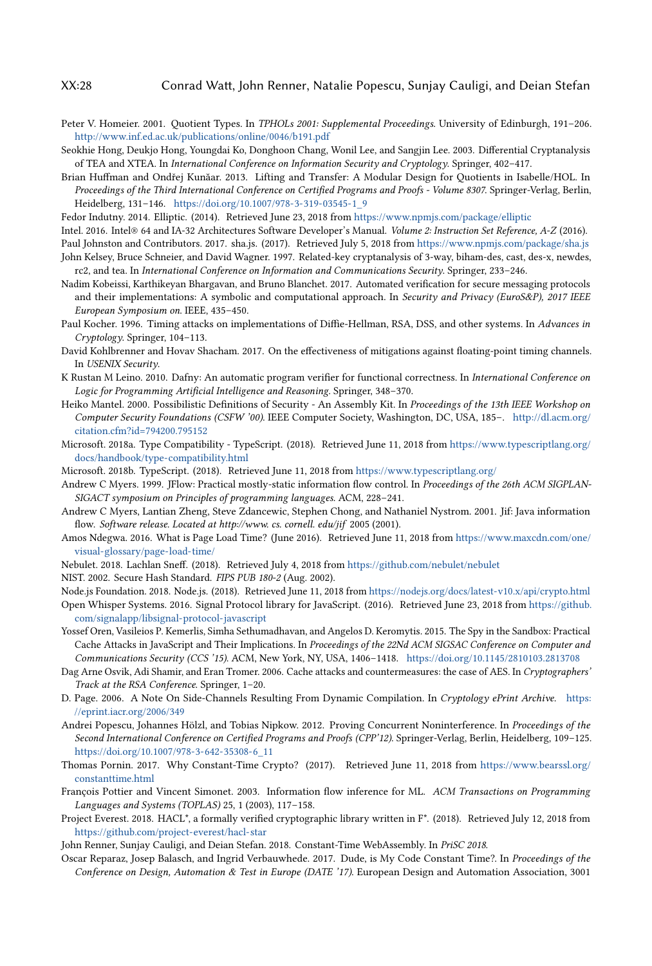- <span id="page-27-18"></span>Peter V. Homeier. 2001. Quotient Types. In TPHOLs 2001: Supplemental Proceedings. University of Edinburgh, 191–206. <http://www.inf.ed.ac.uk/publications/online/0046/b191.pdf>
- <span id="page-27-24"></span>Seokhie Hong, Deukjo Hong, Youngdai Ko, Donghoon Chang, Wonil Lee, and Sangjin Lee. 2003. Differential Cryptanalysis of TEA and XTEA. In International Conference on Information Security and Cryptology. Springer, 402–417.
- <span id="page-27-19"></span>Brian Huffman and Ondřej Kunăar. 2013. Lifting and Transfer: A Modular Design for Quotients in Isabelle/HOL. In Proceedings of the Third International Conference on Certified Programs and Proofs - Volume 8307. Springer-Verlag, Berlin, Heidelberg, 131–146. [https://doi.org/10.1007/978-3-319-03545-1\\_9](https://doi.org/10.1007/978-3-319-03545-1_9)
- <span id="page-27-2"></span>Fedor Indutny. 2014. Elliptic. (2014). Retrieved June 23, 2018 from <https://www.npmjs.com/package/elliptic>
- <span id="page-27-15"></span>Intel. 2016. Intel® 64 and IA-32 Architectures Software Developer's Manual. Volume 2: Instruction Set Reference, A-Z (2016).
- <span id="page-27-25"></span><span id="page-27-23"></span>Paul Johnston and Contributors. 2017. sha.js. (2017). Retrieved July 5, 2018 from <https://www.npmjs.com/package/sha.js> John Kelsey, Bruce Schneier, and David Wagner. 1997. Related-key cryptanalysis of 3-way, biham-des, cast, des-x, newdes,
- rc2, and tea. In International Conference on Information and Communications Security. Springer, 233–246.
- <span id="page-27-7"></span>Nadim Kobeissi, Karthikeyan Bhargavan, and Bruno Blanchet. 2017. Automated verification for secure messaging protocols and their implementations: A symbolic and computational approach. In Security and Privacy (EuroS&P), 2017 IEEE European Symposium on. IEEE, 435–450.
- <span id="page-27-4"></span>Paul Kocher. 1996. Timing attacks on implementations of Diffie-Hellman, RSA, DSS, and other systems. In Advances in Cryptology. Springer, 104–113.
- <span id="page-27-14"></span>David Kohlbrenner and Hovav Shacham. 2017. On the effectiveness of mitigations against floating-point timing channels. In USENIX Security.
- <span id="page-27-28"></span>K Rustan M Leino. 2010. Dafny: An automatic program verifier for functional correctness. In International Conference on Logic for Programming Artificial Intelligence and Reasoning. Springer, 348–370.
- <span id="page-27-16"></span>Heiko Mantel. 2000. Possibilistic Definitions of Security - An Assembly Kit. In Proceedings of the 13th IEEE Workshop on Computer Security Foundations (CSFW '00). IEEE Computer Society, Washington, DC, USA, 185–. [http://dl.acm.org/](http://dl.acm.org/citation.cfm?id=794200.795152) [citation.cfm?id=794200.795152](http://dl.acm.org/citation.cfm?id=794200.795152)
- <span id="page-27-20"></span>Microsoft. 2018a. Type Compatibility - TypeScript. (2018). Retrieved June 11, 2018 from [https://www.typescriptlang.org/](https://www.typescriptlang.org/docs/handbook/type-compatibility.html) [docs/handbook/type-compatibility.html](https://www.typescriptlang.org/docs/handbook/type-compatibility.html)
- <span id="page-27-3"></span>Microsoft. 2018b. TypeScript. (2018). Retrieved June 11, 2018 from <https://www.typescriptlang.org/>
- <span id="page-27-11"></span>Andrew C Myers. 1999. JFlow: Practical mostly-static information flow control. In Proceedings of the 26th ACM SIGPLAN-SIGACT symposium on Principles of programming languages. ACM, 228–241.
- <span id="page-27-12"></span>Andrew C Myers, Lantian Zheng, Steve Zdancewic, Stephen Chong, and Nathaniel Nystrom. 2001. Jif: Java information flow. Software release. Located at http://www. cs. cornell. edu/jif 2005 (2001).
- <span id="page-27-10"></span>Amos Ndegwa. 2016. What is Page Load Time? (June 2016). Retrieved June 11, 2018 from [https://www.maxcdn.com/one/](https://www.maxcdn.com/one/visual-glossary/page-load-time/) [visual-glossary/page-load-time/](https://www.maxcdn.com/one/visual-glossary/page-load-time/)
- <span id="page-27-21"></span>Nebulet. 2018. Lachlan Sneff. (2018). Retrieved July 4, 2018 from <https://github.com/nebulet/nebulet>
- <span id="page-27-22"></span>NIST. 2002. Secure Hash Standard. FIPS PUB 180-2 (Aug. 2002).
- <span id="page-27-9"></span>Node.js Foundation. 2018. Node.js. (2018). Retrieved June 11, 2018 from <https://nodejs.org/docs/latest-v10.x/api/crypto.html>
- <span id="page-27-8"></span>Open Whisper Systems. 2016. Signal Protocol library for JavaScript. (2016). Retrieved June 23, 2018 from [https://github.](https://github.com/signalapp/libsignal-protocol-javascript) [com/signalapp/libsignal-protocol-javascript](https://github.com/signalapp/libsignal-protocol-javascript)
- <span id="page-27-0"></span>Yossef Oren, Vasileios P. Kemerlis, Simha Sethumadhavan, and Angelos D. Keromytis. 2015. The Spy in the Sandbox: Practical Cache Attacks in JavaScript and Their Implications. In Proceedings of the 22Nd ACM SIGSAC Conference on Computer and Communications Security (CCS '15). ACM, New York, NY, USA, 1406–1418. <https://doi.org/10.1145/2810103.2813708>
- <span id="page-27-5"></span>Dag Arne Osvik, Adi Shamir, and Eran Tromer. 2006. Cache attacks and countermeasures: the case of AES. In Cryptographers' Track at the RSA Conference. Springer, 1–20.
- <span id="page-27-1"></span>D. Page. 2006. A Note On Side-Channels Resulting From Dynamic Compilation. In Cryptology ePrint Archive. [https:](https://eprint.iacr.org/2006/349) [//eprint.iacr.org/2006/349](https://eprint.iacr.org/2006/349)
- <span id="page-27-17"></span>Andrei Popescu, Johannes Hölzl, and Tobias Nipkow. 2012. Proving Concurrent Noninterference. In Proceedings of the Second International Conference on Certified Programs and Proofs (CPP'12). Springer-Verlag, Berlin, Heidelberg, 109–125. [https://doi.org/10.1007/978-3-642-35308-6\\_11](https://doi.org/10.1007/978-3-642-35308-6_11)
- <span id="page-27-6"></span>Thomas Pornin. 2017. Why Constant-Time Crypto? (2017). Retrieved June 11, 2018 from [https://www.bearssl.org/](https://www.bearssl.org/constanttime.html) [constanttime.html](https://www.bearssl.org/constanttime.html)
- <span id="page-27-13"></span>François Pottier and Vincent Simonet. 2003. Information flow inference for ML. ACM Transactions on Programming Languages and Systems (TOPLAS) 25, 1 (2003), 117–158.
- <span id="page-27-29"></span>Project Everest. 2018. HACL\*, a formally verified cryptographic library written in F\*. (2018). Retrieved July 12, 2018 from <https://github.com/project-everest/hacl-star>
- <span id="page-27-27"></span>John Renner, Sunjay Cauligi, and Deian Stefan. 2018. Constant-Time WebAssembly. In PriSC 2018.
- <span id="page-27-26"></span>Oscar Reparaz, Josep Balasch, and Ingrid Verbauwhede. 2017. Dude, is My Code Constant Time?. In Proceedings of the Conference on Design, Automation & Test in Europe (DATE '17). European Design and Automation Association, 3001